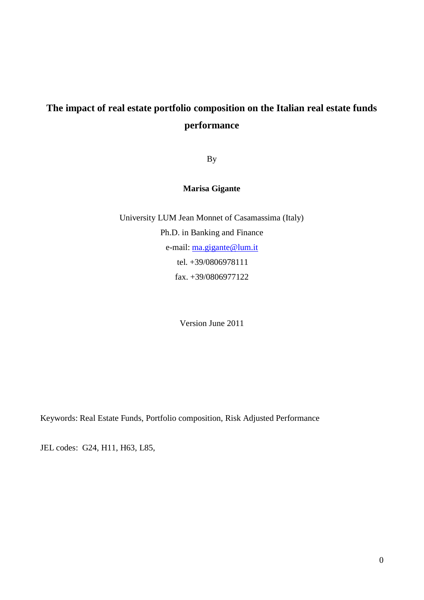# **The impact of real estate portfolio composition on the Italian real estate funds performance**

By

**Marisa Gigante**

University LUM Jean Monnet of Casamassima (Italy) Ph.D. in Banking and Finance e-mail: [ma.gigante@lum.it](mailto:ma.gigante@lum.it) tel. +39/0806978111 fax. +39/0806977122

Version June 2011

Keywords: Real Estate Funds, Portfolio composition, Risk Adjusted Performance

JEL codes: G24, H11, H63, L85,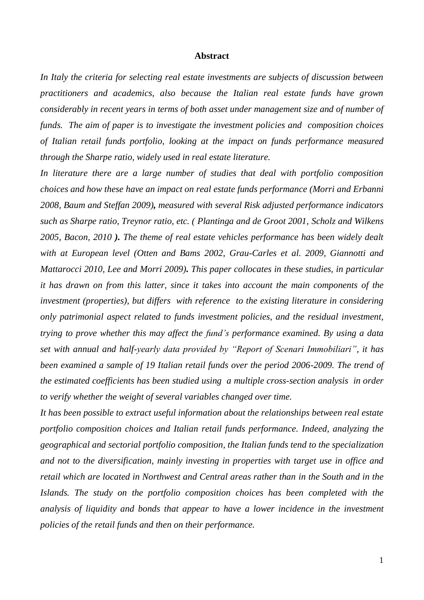#### **Abstract**

*In Italy the criteria for selecting real estate investments are subjects of discussion between practitioners and academics, also because the Italian real estate funds have grown considerably in recent years in terms of both asset under management size and of number of funds. The aim of paper is to investigate the investment policies and composition choices of Italian retail funds portfolio, looking at the impact on funds performance measured through the Sharpe ratio, widely used in real estate literature.*

*In literature there are a large number of studies that deal with portfolio composition choices and how these have an impact on real estate funds performance (Morri and Erbanni 2008, Baum and Steffan 2009), measured with several Risk adjusted performance indicators such as Sharpe ratio, Treynor ratio, etc. ( Plantinga and de Groot 2001, Scholz and Wilkens 2005, Bacon, 2010 ). The theme of real estate vehicles performance has been widely dealt with at European level (Otten and Bams 2002, Grau-Carles et al. 2009, Giannotti and Mattarocci 2010, Lee and Morri 2009). This paper collocates in these studies, in particular it has drawn on from this latter, since it takes into account the main components of the investment (properties), but differs with reference to the existing literature in considering only patrimonial aspect related to funds investment policies, and the residual investment, trying to prove whether this may affect the fund's performance examined. By using a data set with annual and half-yearly data provided by "Report of Scenari Immobiliari", it has been examined a sample of 19 Italian retail funds over the period 2006-2009. The trend of the estimated coefficients has been studied using a multiple cross-section analysis in order to verify whether the weight of several variables changed over time.* 

*It has been possible to extract useful information about the relationships between real estate portfolio composition choices and Italian retail funds performance. Indeed, analyzing the geographical and sectorial portfolio composition, the Italian funds tend to the specialization and not to the diversification, mainly investing in properties with target use in office and retail which are located in Northwest and Central areas rather than in the South and in the Islands. The study on the portfolio composition choices has been completed with the analysis of liquidity and bonds that appear to have a lower incidence in the investment policies of the retail funds and then on their performance.*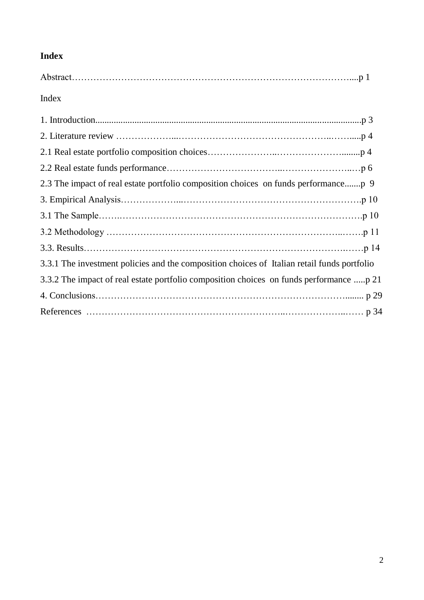# **Index**

## Index

| 3.3.1 The investment policies and the composition choices of Italian retail funds portfolio |
|---------------------------------------------------------------------------------------------|
| 3.3.2 The impact of real estate portfolio composition choices on funds performance p 21     |
|                                                                                             |
|                                                                                             |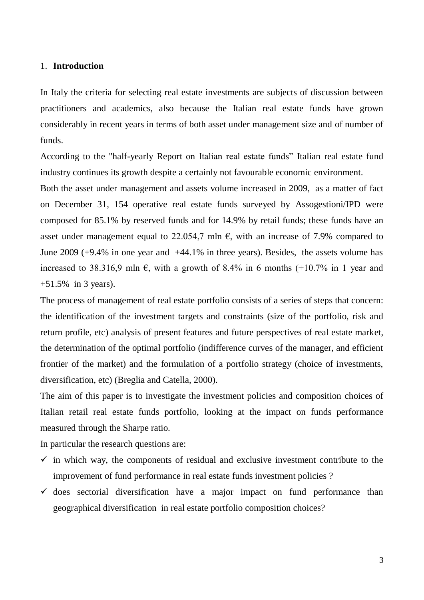#### 1. **Introduction**

In Italy the criteria for selecting real estate investments are subjects of discussion between practitioners and academics, also because the Italian real estate funds have grown considerably in recent years in terms of both asset under management size and of number of funds.

According to the "half-yearly Report on Italian real estate funds" Italian real estate fund industry continues its growth despite a certainly not favourable economic environment.

Both the asset under management and assets volume increased in 2009, as a matter of fact on December 31, 154 operative real estate funds surveyed by Assogestioni/IPD were composed for 85.1% by reserved funds and for 14.9% by retail funds; these funds have an asset under management equal to 22.054,7 mln  $\epsilon$ , with an increase of 7.9% compared to June 2009 (+9.4% in one year and +44.1% in three years). Besides, the assets volume has increased to 38.316,9 mln  $\epsilon$ , with a growth of 8.4% in 6 months (+10.7% in 1 year and +51.5% in 3 years).

The process of management of real estate portfolio consists of a series of steps that concern: the identification of the investment targets and constraints (size of the portfolio, risk and return profile, etc) analysis of present features and future perspectives of real estate market, the determination of the optimal portfolio (indifference curves of the manager, and efficient frontier of the market) and the formulation of a portfolio strategy (choice of investments, diversification, etc) (Breglia and Catella, 2000).

The aim of this paper is to investigate the investment policies and composition choices of Italian retail real estate funds portfolio, looking at the impact on funds performance measured through the Sharpe ratio.

In particular the research questions are:

- $\checkmark$  in which way, the components of residual and exclusive investment contribute to the improvement of fund performance in real estate funds investment policies ?
- $\checkmark$  does sectorial diversification have a major impact on fund performance than geographical diversification in real estate portfolio composition choices?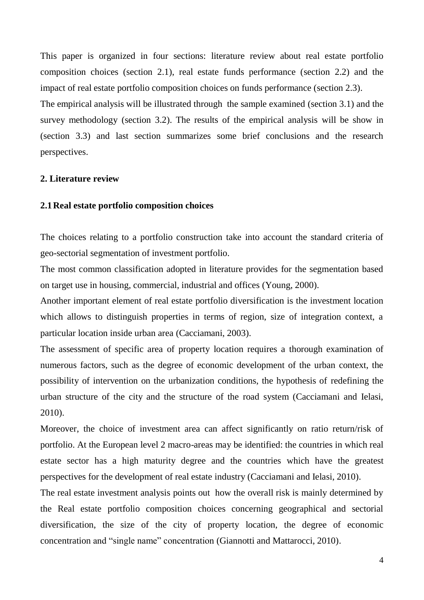This paper is organized in four sections: literature review about real estate portfolio composition choices (section 2.1), real estate funds performance (section 2.2) and the impact of real estate portfolio composition choices on funds performance (section 2.3).

The empirical analysis will be illustrated through the sample examined (section 3.1) and the survey methodology (section 3.2). The results of the empirical analysis will be show in (section 3.3) and last section summarizes some brief conclusions and the research perspectives.

#### **2. Literature review**

#### **2.1Real estate portfolio composition choices**

The choices relating to a portfolio construction take into account the standard criteria of geo-sectorial segmentation of investment portfolio.

The most common classification adopted in literature provides for the segmentation based on target use in housing, commercial, industrial and offices (Young, 2000).

Another important element of real estate portfolio diversification is the investment location which allows to distinguish properties in terms of region, size of integration context, a particular location inside urban area (Cacciamani, 2003).

The assessment of specific area of property location requires a thorough examination of numerous factors, such as the degree of economic development of the urban context, the possibility of intervention on the urbanization conditions, the hypothesis of redefining the urban structure of the city and the structure of the road system (Cacciamani and Ielasi, 2010).

Moreover, the choice of investment area can affect significantly on ratio return/risk of portfolio. At the European level 2 macro-areas may be identified: the countries in which real estate sector has a high maturity degree and the countries which have the greatest perspectives for the development of real estate industry (Cacciamani and Ielasi, 2010).

The real estate investment analysis points out how the overall risk is mainly determined by the Real estate portfolio composition choices concerning geographical and sectorial diversification, the size of the city of property location, the degree of economic concentration and "single name" concentration (Giannotti and Mattarocci, 2010).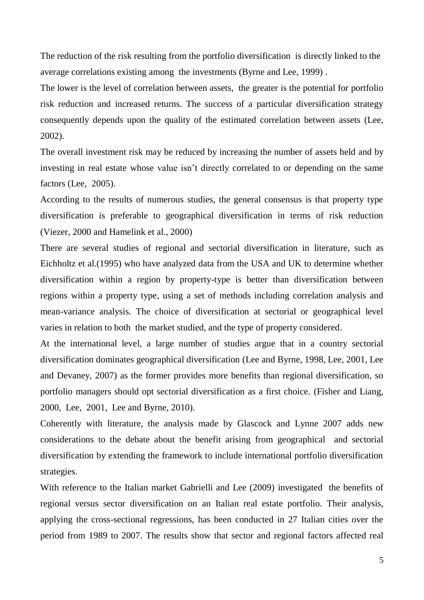The reduction of the risk resulting from the portfolio diversification is directly linked to the average correlations existing among the investments (Byrne and Lee, 1999) .

The lower is the level of correlation between assets, the greater is the potential for portfolio risk reduction and increased returns. The success of a particular diversification strategy consequently depends upon the quality of the estimated correlation between assets (Lee, 2002).

The overall investment risk may be reduced by increasing the number of assets held and by investing in real estate whose value isn't directly correlated to or depending on the same factors (Lee, 2005).

According to the results of numerous studies, the general consensus is that property type diversification is preferable to geographical diversification in terms of risk reduction (Viezer, 2000 and Hamelink et al., 2000)

There are several studies of regional and sectorial diversification in literature, such as Eichholtz et al.(1995) who have analyzed data from the USA and UK to determine whether diversification within a region by property-type is better than diversification between regions within a property type, using a set of methods including correlation analysis and mean-variance analysis. The choice of diversification at sectorial or geographical level varies in relation to both the market studied, and the type of property considered.

At the international level, a large number of studies argue that in a country sectorial diversification dominates geographical diversification (Lee and Byrne, 1998, Lee, 2001, Lee and Devaney, 2007) as the former provides more benefits than regional diversification, so portfolio managers should opt sectorial diversification as a first choice. (Fisher and Liang, 2000, Lee, 2001, Lee and Byrne, 2010).

Coherently with literature, the analysis made by Glascock and Lynne 2007 adds new considerations to the debate about the benefit arising from geographical and sectorial diversification by extending the framework to include international portfolio diversification strategies.

With reference to the Italian market Gabrielli and Lee (2009) investigated the benefits of regional versus sector diversification on an Italian real estate portfolio. Their analysis, applying the cross-sectional regressions, has been conducted in 27 Italian cities over the period from 1989 to 2007. The results show that sector and regional factors affected real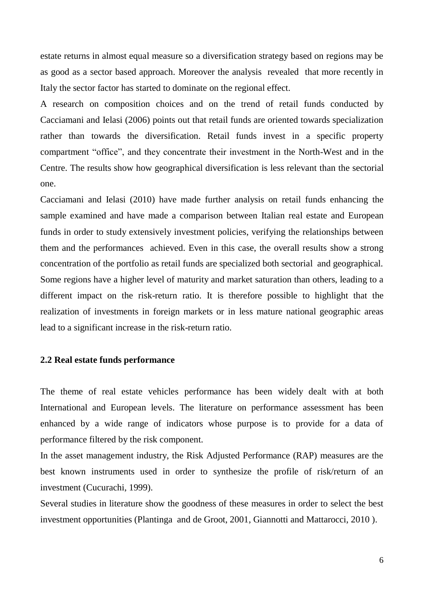estate returns in almost equal measure so a diversification strategy based on regions may be as good as a sector based approach. Moreover the analysis revealed that more recently in Italy the sector factor has started to dominate on the regional effect.

A research on composition choices and on the trend of retail funds conducted by Cacciamani and Ielasi (2006) points out that retail funds are oriented towards specialization rather than towards the diversification. Retail funds invest in a specific property compartment "office", and they concentrate their investment in the North-West and in the Centre. The results show how geographical diversification is less relevant than the sectorial one.

Cacciamani and Ielasi (2010) have made further analysis on retail funds enhancing the sample examined and have made a comparison between Italian real estate and European funds in order to study extensively investment policies, verifying the relationships between them and the performances achieved. Even in this case, the overall results show a strong concentration of the portfolio as retail funds are specialized both sectorial and geographical. Some regions have a higher level of maturity and market saturation than others, leading to a different impact on the risk-return ratio. It is therefore possible to highlight that the realization of investments in foreign markets or in less mature national geographic areas lead to a significant increase in the risk-return ratio.

#### **2.2 Real estate funds performance**

The theme of real estate vehicles performance has been widely dealt with at both International and European levels. The literature on performance assessment has been enhanced by a wide range of indicators whose purpose is to provide for a data of performance filtered by the risk component.

In the asset management industry, the Risk Adjusted Performance (RAP) measures are the best known instruments used in order to synthesize the profile of risk/return of an investment (Cucurachi, 1999).

Several studies in literature show the goodness of these measures in order to select the best investment opportunities (Plantinga and de Groot, 2001, Giannotti and Mattarocci, 2010 ).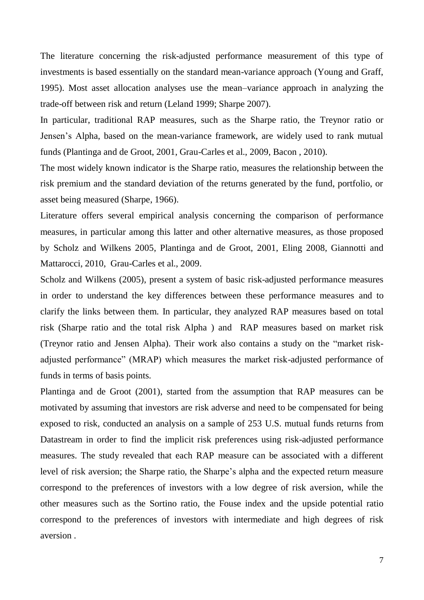The literature concerning the risk-adjusted performance measurement of this type of investments is based essentially on the standard mean-variance approach (Young and Graff, 1995). Most asset allocation analyses use the mean–variance approach in analyzing the trade-off between risk and return (Leland 1999; Sharpe 2007).

In particular, traditional RAP measures, such as the Sharpe ratio, the Treynor ratio or Jensen's Alpha, based on the mean-variance framework, are widely used to rank mutual funds (Plantinga and de Groot, 2001, Grau-Carles et al., 2009, Bacon , 2010).

The most widely known indicator is the Sharpe ratio, measures the relationship between the risk premium and the standard deviation of the returns generated by the fund, portfolio, or asset being measured (Sharpe, 1966).

Literature offers several empirical analysis concerning the comparison of performance measures, in particular among this latter and other alternative measures, as those proposed by Scholz and Wilkens 2005, Plantinga and de Groot, 2001, Eling 2008, Giannotti and Mattarocci, 2010, Grau-Carles et al., 2009.

Scholz and Wilkens (2005), present a system of basic risk-adjusted performance measures in order to understand the key differences between these performance measures and to clarify the links between them. In particular, they analyzed RAP measures based on total risk (Sharpe ratio and the total risk Alpha ) and RAP measures based on market risk (Treynor ratio and Jensen Alpha). Their work also contains a study on the "market riskadjusted performance" (MRAP) which measures the market risk-adjusted performance of funds in terms of basis points.

Plantinga and de Groot (2001), started from the assumption that RAP measures can be motivated by assuming that investors are risk adverse and need to be compensated for being exposed to risk, conducted an analysis on a sample of 253 U.S. mutual funds returns from Datastream in order to find the implicit risk preferences using risk-adjusted performance measures. The study revealed that each RAP measure can be associated with a different level of risk aversion; the Sharpe ratio, the Sharpe's alpha and the expected return measure correspond to the preferences of investors with a low degree of risk aversion, while the other measures such as the Sortino ratio, the Fouse index and the upside potential ratio correspond to the preferences of investors with intermediate and high degrees of risk aversion .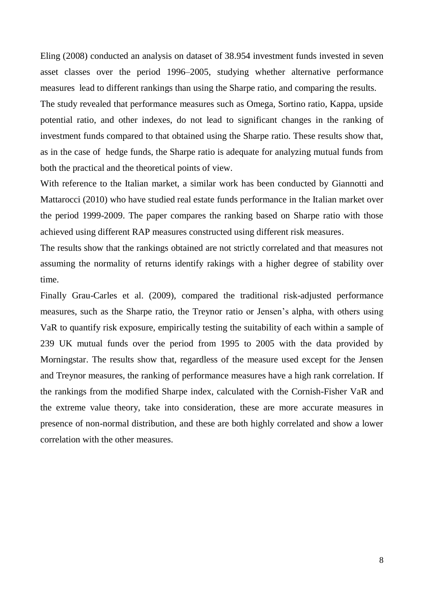Eling (2008) conducted an analysis on dataset of 38.954 investment funds invested in seven asset classes over the period 1996–2005, studying whether alternative performance measures lead to different rankings than using the Sharpe ratio, and comparing the results. The study revealed that performance measures such as Omega, Sortino ratio, Kappa, upside potential ratio, and other indexes, do not lead to significant changes in the ranking of investment funds compared to that obtained using the Sharpe ratio. These results show that, as in the case of hedge funds, the Sharpe ratio is adequate for analyzing mutual funds from both the practical and the theoretical points of view.

With reference to the Italian market, a similar work has been conducted by Giannotti and Mattarocci (2010) who have studied real estate funds performance in the Italian market over the period 1999-2009. The paper compares the ranking based on Sharpe ratio with those achieved using different RAP measures constructed using different risk measures.

The results show that the rankings obtained are not strictly correlated and that measures not assuming the normality of returns identify rakings with a higher degree of stability over time.

Finally Grau-Carles et al. (2009), compared the traditional risk-adjusted performance measures, such as the Sharpe ratio, the Treynor ratio or Jensen's alpha, with others using VaR to quantify risk exposure, empirically testing the suitability of each within a sample of 239 UK mutual funds over the period from 1995 to 2005 with the data provided by Morningstar. The results show that, regardless of the measure used except for the Jensen and Treynor measures, the ranking of performance measures have a high rank correlation. If the rankings from the modified Sharpe index, calculated with the Cornish-Fisher VaR and the extreme value theory, take into consideration, these are more accurate measures in presence of non-normal distribution, and these are both highly correlated and show a lower correlation with the other measures.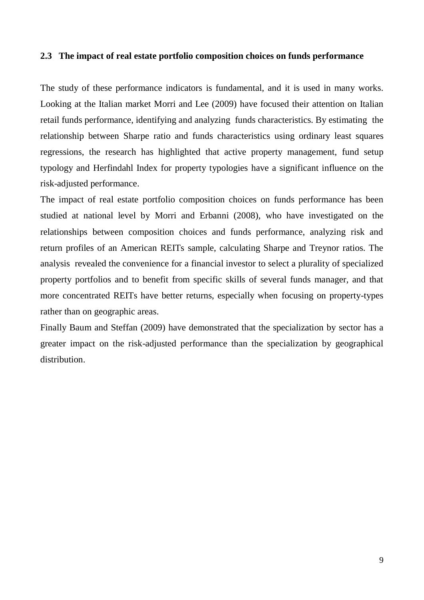### **2.3 The impact of real estate portfolio composition choices on funds performance**

The study of these performance indicators is fundamental, and it is used in many works. Looking at the Italian market Morri and Lee (2009) have focused their attention on Italian retail funds performance, identifying and analyzing funds characteristics. By estimating the relationship between Sharpe ratio and funds characteristics using ordinary least squares regressions, the research has highlighted that active property management, fund setup typology and Herfindahl Index for property typologies have a significant influence on the risk-adjusted performance.

The impact of real estate portfolio composition choices on funds performance has been studied at national level by Morri and Erbanni (2008), who have investigated on the relationships between composition choices and funds performance, analyzing risk and return profiles of an American REITs sample, calculating Sharpe and Treynor ratios. The analysis revealed the convenience for a financial investor to select a plurality of specialized property portfolios and to benefit from specific skills of several funds manager, and that more concentrated REITs have better returns, especially when focusing on property-types rather than on geographic areas.

Finally Baum and Steffan (2009) have demonstrated that the specialization by sector has a greater impact on the risk-adjusted performance than the specialization by geographical distribution.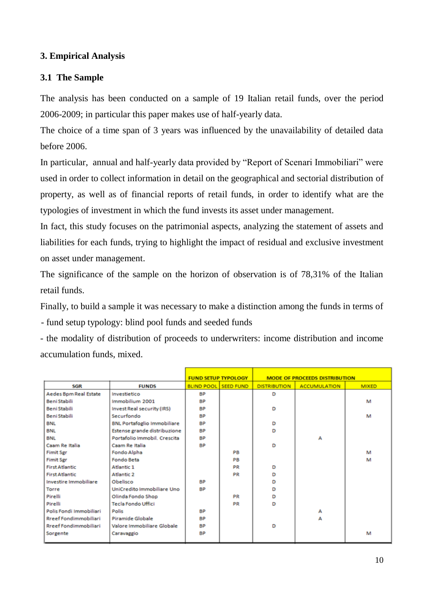## **3. Empirical Analysis**

## **3.1 The Sample**

The analysis has been conducted on a sample of 19 Italian retail funds, over the period 2006-2009; in particular this paper makes use of half-yearly data.

The choice of a time span of 3 years was influenced by the unavailability of detailed data before 2006.

In particular, annual and half-yearly data provided by "Report of Scenari Immobiliari" were used in order to collect information in detail on the geographical and sectorial distribution of property, as well as of financial reports of retail funds, in order to identify what are the typologies of investment in which the fund invests its asset under management.

In fact, this study focuses on the patrimonial aspects, analyzing the statement of assets and liabilities for each funds, trying to highlight the impact of residual and exclusive investment on asset under management.

The significance of the sample on the horizon of observation is of 78,31% of the Italian retail funds.

Finally, to build a sample it was necessary to make a distinction among the funds in terms of - fund setup typology: blind pool funds and seeded funds

- the modality of distribution of proceeds to underwriters: income distribution and income accumulation funds, mixed.

|                              |                                    | <b>FUND SETUP TYPOLOGY</b> |                  |                     | <b>MODE OF PROCEEDS DISTRIBUTION</b> |              |
|------------------------------|------------------------------------|----------------------------|------------------|---------------------|--------------------------------------|--------------|
| SGR                          | <b>FUNDS</b>                       | <b>BLIND POOL</b>          | <b>SEED FUND</b> | <b>DISTRIBUTION</b> | <b>ACCUMULATION</b>                  | <b>MIXED</b> |
| Aedes Bpm Real Estate        | Investietico                       | <b>BP</b>                  |                  | D                   |                                      |              |
| Beni Stabili                 | Immobilium 2001                    | <b>BP</b>                  |                  |                     |                                      | м            |
| Beni Stabili                 | Invest Real security (IRS)         | <b>BP</b>                  |                  | D                   |                                      |              |
| <b>Beni Stabili</b>          | Securfondo                         | <b>BP</b>                  |                  |                     |                                      | м            |
| <b>BNL</b>                   | <b>BNL Portafoglio Immobiliare</b> | <b>BP</b>                  |                  | D                   |                                      |              |
| BNL                          | Estense grande distribuzione       | <b>BP</b>                  |                  | D                   |                                      |              |
| <b>BNL</b>                   | Portafolio Immobil, Crescita       | <b>BP</b>                  |                  |                     | А                                    |              |
| Caam Re Italia               | Caam Re Italia                     | <b>BP</b>                  |                  | D                   |                                      |              |
| <b>Fimit Sgr</b>             | Fondo Alpha                        |                            | PB               |                     |                                      | м            |
| <b>Fimit Sgr</b>             | Fondo Beta                         |                            | PB               |                     |                                      | м            |
| <b>First Atlantic</b>        | Atlantic 1                         |                            | PR               | D                   |                                      |              |
| <b>First Atlantic</b>        | <b>Atlantic 2</b>                  |                            | PR               | D                   |                                      |              |
| Investire Immobiliare        | Obelisco                           | <b>BP</b>                  |                  | D                   |                                      |              |
| Torre                        | UniCredito Immobiliare Uno         | <b>BP</b>                  |                  | D                   |                                      |              |
| Pirelli                      | Olinda Fondo Shop                  |                            | PR               | D                   |                                      |              |
| Pirelli                      | <b>Tecla Fondo Uffici</b>          |                            | PR               | D                   |                                      |              |
| Polis Fondi Immobiliari      | Polis                              | <b>BP</b>                  |                  |                     | А                                    |              |
| <b>Rreef Fondimmobiliari</b> | Piramide Globale                   | <b>BP</b>                  |                  |                     | А                                    |              |
| Rreef Fondimmobiliari        | Valore Immobiliare Globale         | <b>BP</b>                  |                  | D                   |                                      |              |
| Sorgente                     | Caravaggio                         | <b>BP</b>                  |                  |                     |                                      | м            |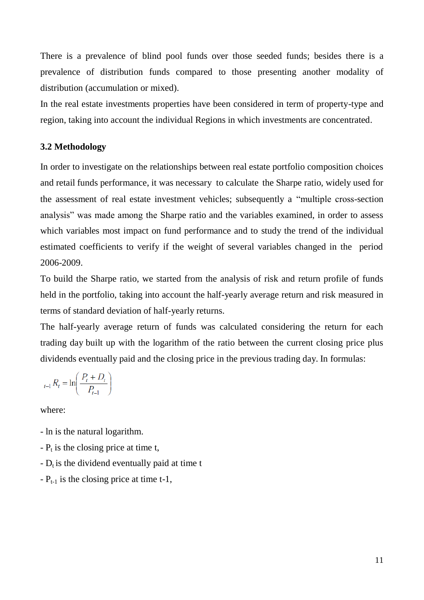There is a prevalence of blind pool funds over those seeded funds; besides there is a prevalence of distribution funds compared to those presenting another modality of distribution (accumulation or mixed).

In the real estate investments properties have been considered in term of property-type and region, taking into account the individual Regions in which investments are concentrated.

### **3.2 Methodology**

In order to investigate on the relationships between real estate portfolio composition choices and retail funds performance, it was necessary to calculate the Sharpe ratio, widely used for the assessment of real estate investment vehicles; subsequently a "multiple cross-section analysis" was made among the Sharpe ratio and the variables examined, in order to assess which variables most impact on fund performance and to study the trend of the individual estimated coefficients to verify if the weight of several variables changed in the period 2006-2009.

To build the Sharpe ratio, we started from the analysis of risk and return profile of funds held in the portfolio, taking into account the half-yearly average return and risk measured in terms of standard deviation of half-yearly returns.

The half-yearly average return of funds was calculated considering the return for each trading day built up with the logarithm of the ratio between the current closing price plus dividends eventually paid and the closing price in the previous trading day. In formulas:

$$
_{t-1}R_t = \ln\left(\frac{P_t + D_t}{P_{t-1}}\right)
$$

where:

- ln is the natural logarithm.
- $-P_t$  is the closing price at time t,
- $-D_t$  is the dividend eventually paid at time t
- $-P_{t-1}$  is the closing price at time t-1,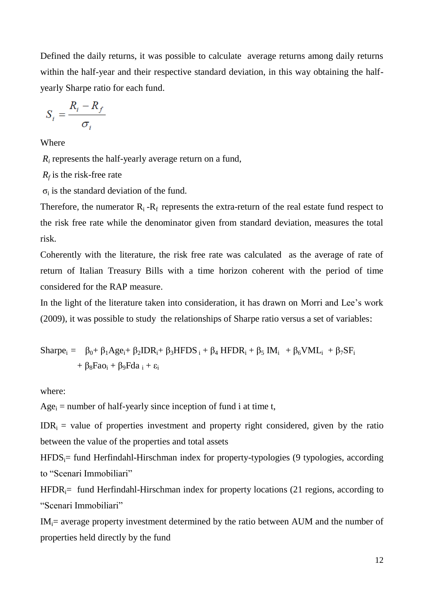Defined the daily returns, it was possible to calculate average returns among daily returns within the half-year and their respective standard deviation, in this way obtaining the halfyearly Sharpe ratio for each fund.

$$
S_i = \frac{R_i - R_f}{\sigma_i}
$$

Where

*R<sup>i</sup>* represents the half-yearly average return on a fund,

*Rf* is the risk-free rate

 $\sigma_i$  is the standard deviation of the fund.

Therefore, the numerator  $R_i - R_f$  represents the extra-return of the real estate fund respect to the risk free rate while the denominator given from standard deviation, measures the total risk.

Coherently with the literature, the risk free rate was calculated as the average of rate of return of Italian Treasury Bills with a time horizon coherent with the period of time considered for the RAP measure.

In the light of the literature taken into consideration, it has drawn on Morri and Lee's work (2009), it was possible to study the relationships of Sharpe ratio versus a set of variables:

$$
\begin{aligned} \text{Sharpe}_i = & \quad \beta_0 + \beta_1 Age_i + \beta_2 DDR_i + \beta_3HFDS_i + \beta_4 HFDR_i + \beta_5 IM_i & \quad + \beta_6 VML_i & \quad + \beta_7 SF_i \\ & \quad + \beta_8 Fao_i + \beta_9 Fda_i + \epsilon_i \end{aligned}
$$

where:

 $Age_i$  = number of half-yearly since inception of fund i at time t,

 $IDR_i$  = value of properties investment and property right considered, given by the ratio between the value of the properties and total assets

 $HFDS_i$ = fund Herfindahl-Hirschman index for property-typologies (9 typologies, according to "Scenari Immobiliari"

 $HFDR_i=$  fund Herfindahl-Hirschman index for property locations (21 regions, according to "Scenari Immobiliari"

 $IM_i$  = average property investment determined by the ratio between AUM and the number of properties held directly by the fund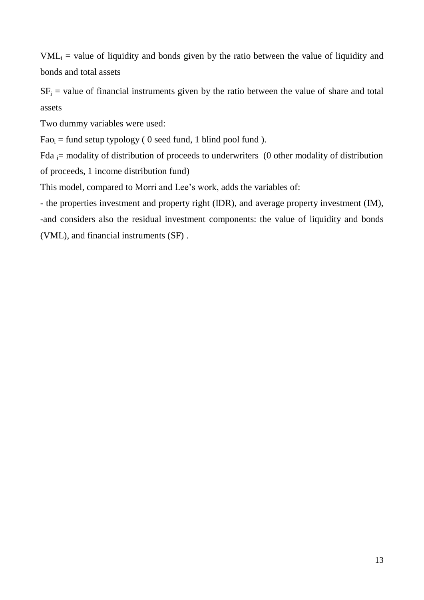$VML<sub>i</sub>$  = value of liquidity and bonds given by the ratio between the value of liquidity and bonds and total assets

 $SF<sub>i</sub>$  = value of financial instruments given by the ratio between the value of share and total assets

Two dummy variables were used:

 $Fao_i = fund setup typology ( 0 seed fund, 1 blind pool fund ).$ 

Fda  $=$  modality of distribution of proceeds to underwriters (0 other modality of distribution of proceeds, 1 income distribution fund)

This model, compared to Morri and Lee's work, adds the variables of:

*-* the properties investment and property right (IDR), and average property investment (IM), -and considers also the residual investment components: the value of liquidity and bonds (VML), and financial instruments (SF) .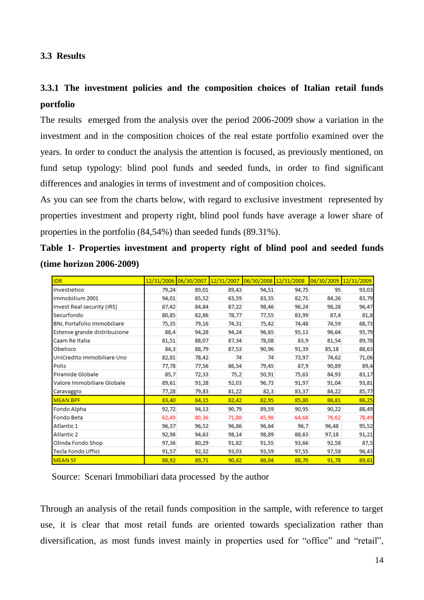### **3.3 Results**

## **3.3.1 The investment policies and the composition choices of Italian retail funds portfolio**

The results emerged from the analysis over the period 2006-2009 show a variation in the investment and in the composition choices of the real estate portfolio examined over the years. In order to conduct the analysis the attention is focused, as previously mentioned, on fund setup typology: blind pool funds and seeded funds, in order to find significant differences and analogies in terms of investment and of composition choices.

As you can see from the charts below, with regard to exclusive investment represented by properties investment and property right, blind pool funds have average a lower share of properties in the portfolio (84,54%) than seeded funds (89.31%).

| Table 1- Properties investment and property right of blind pool and seeded funds |                                                                                             |  |  |  |  |
|----------------------------------------------------------------------------------|---------------------------------------------------------------------------------------------|--|--|--|--|
| <b>(time horizon 2006-2009)</b>                                                  |                                                                                             |  |  |  |  |
|                                                                                  | so los logos los logicos legios logos los logicoso legios logos los logicoso legios logos l |  |  |  |  |

| <b>IDR</b>                        |       | 12/31/2006 06/30/2007 12/31/2007 06/30/2008 12/31/2008 |       |       |       | 06/30/2009 12/31/2009 |       |
|-----------------------------------|-------|--------------------------------------------------------|-------|-------|-------|-----------------------|-------|
| Investietico                      | 79,24 | 89,01                                                  | 89,43 | 94,51 | 94,75 | 95                    | 93,03 |
| Immobilium 2001                   | 94,01 | 85,52                                                  | 63,59 | 83,35 | 82,71 | 84,26                 | 83,79 |
| <b>Invest Real security (IRS)</b> | 87,42 | 84,84                                                  | 87,22 | 98,46 | 96,24 | 98,28                 | 96,47 |
| Securfondo                        | 80,85 | 82,86                                                  | 78,77 | 77,55 | 83,99 | 87,4                  | 81,8  |
| <b>BNL Portafolio Immobiliare</b> | 75,35 | 79,16                                                  | 74,31 | 75,42 | 74,48 | 74,59                 | 68,73 |
| Estense grande distribuzione      | 88,4  | 94,28                                                  | 94,24 | 96,65 | 95,13 | 96,64                 | 95,79 |
| Caam Re Italia                    | 81,51 | 88,07                                                  | 87,34 | 78,08 | 83,9  | 81,54                 | 89,78 |
| Obelisco                          | 84,3  | 88,79                                                  | 87,53 | 90,96 | 91,39 | 85,18                 | 88,63 |
| UniCredito Immobiliare Uno        | 82,81 | 78,42                                                  | 74    | 74    | 73,97 | 74,62                 | 71,06 |
| <b>Polis</b>                      | 77,78 | 77,56                                                  | 86,54 | 79,45 | 87,9  | 90,89                 | 89,4  |
| Piramide Globale                  | 85,7  | 72,33                                                  | 75,2  | 50,91 | 75,63 | 84,93                 | 83,17 |
| Valore Immobiliare Globale        | 89,61 | 93,28                                                  | 92,03 | 96,73 | 91,97 | 91,04                 | 93,81 |
| Caravaggio                        | 77,28 | 79,83                                                  | 81,22 | 82,3  | 83,37 | 84,22                 | 85,77 |
| <b>MEAN BPF</b>                   | 83,40 | 84,15                                                  | 82,42 | 82,95 | 85,80 | 86,81                 | 86,25 |
| Fondo Alpha                       | 92,72 | 94,13                                                  | 90,79 | 89,59 | 90,95 | 90,22                 | 88,49 |
| Fondo Beta                        | 62,49 | 80,36                                                  | 71,88 | 45,98 | 64,68 | 76,62                 | 78,49 |
| Atlantic 1                        | 96,37 | 96,52                                                  | 96,86 | 96,64 | 96,7  | 96,48                 | 95,52 |
| <b>Atlantic 2</b>                 | 92,98 | 94,63                                                  | 98,14 | 98,89 | 88,63 | 97,18                 | 91,21 |
| Olinda Fondo Shop                 | 97,36 | 80,29                                                  | 91,82 | 91,55 | 93,66 | 92,58                 | 87,5  |
| Tecla Fondo Uffici                | 91,57 | 92,32                                                  | 93,03 | 93,59 | 97,55 | 97,58                 | 96,43 |
| <b>MEAN SF</b>                    | 88,92 | 89,71                                                  | 90,42 | 86,04 | 88,70 | 91,78                 | 89,61 |

Source: Scenari Immobiliari data processed by the author

Through an analysis of the retail funds composition in the sample, with reference to target use, it is clear that most retail funds are oriented towards specialization rather than diversification, as most funds invest mainly in properties used for "office" and "retail",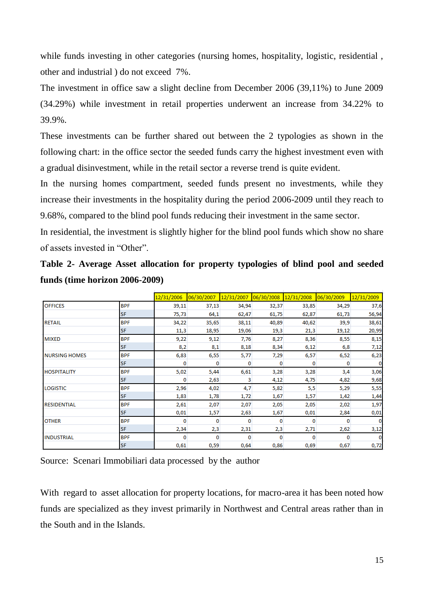while funds investing in other categories (nursing homes, hospitality, logistic, residential, other and industrial ) do not exceed 7%.

The investment in office saw a slight decline from December 2006 (39,11%) to June 2009 (34.29%) while investment in retail properties underwent an increase from 34.22% to 39.9%.

These investments can be further shared out between the 2 typologies as shown in the following chart: in the office sector the seeded funds carry the highest investment even with a gradual disinvestment, while in the retail sector a reverse trend is quite evident.

In the nursing homes compartment, seeded funds present no investments, while they increase their investments in the hospitality during the period 2006-2009 until they reach to 9.68%, compared to the blind pool funds reducing their investment in the same sector.

In residential, the investment is slightly higher for the blind pool funds which show no share of assets invested in "Other".

**Table 2- Average Asset allocation for property typologies of blind pool and seeded funds (time horizon 2006-2009)**

|                      |            | 12/31/2006 | 06/30/2007 |       | 12/31/2007 06/30/2008 12/31/2008 |       | 06/30/2009 | 12/31/2009 |
|----------------------|------------|------------|------------|-------|----------------------------------|-------|------------|------------|
| <b>OFFICES</b>       | <b>BPF</b> | 39,11      | 37,13      | 34,94 | 32,37                            | 33,85 | 34,29      | 37,6       |
|                      | <b>SF</b>  | 75,73      | 64,1       | 62,47 | 61,75                            | 62,87 | 61,73      | 56,94      |
| <b>RETAIL</b>        | <b>BPF</b> | 34,22      | 35,65      | 38,11 | 40,89                            | 40,62 | 39,9       | 38,61      |
|                      | <b>SF</b>  | 11,3       | 18,95      | 19,06 | 19,3                             | 21,3  | 19,12      | 20,99      |
| <b>MIXED</b>         | <b>BPF</b> | 9,22       | 9,12       | 7,76  | 8,27                             | 8,36  | 8,55       | 8,15       |
|                      | <b>SF</b>  | 8,2        | 8,1        | 8,18  | 8,34                             | 6,12  | 6,8        | 7,12       |
| <b>NURSING HOMES</b> | <b>BPF</b> | 6,83       | 6,55       | 5,77  | 7,29                             | 6,57  | 6,52       | 6,23       |
|                      | <b>SF</b>  | 0          | 0          | 0     | 0                                | 0     | 0          | 0          |
| <b>HOSPITALITY</b>   | <b>BPF</b> | 5,02       | 5,44       | 6,61  | 3,28                             | 3,28  | 3,4        | 3,06       |
|                      | <b>SF</b>  | 0          | 2,63       | 3     | 4,12                             | 4,75  | 4,82       | 9,68       |
| <b>LOGISTIC</b>      | <b>BPF</b> | 2,96       | 4,02       | 4,7   | 5,82                             | 5,5   | 5,29       | 5,55       |
|                      | <b>SF</b>  | 1,83       | 1,78       | 1,72  | 1,67                             | 1,57  | 1,42       | 1,44       |
| <b>RESIDENTIAL</b>   | <b>BPF</b> | 2,61       | 2,07       | 2,07  | 2,05                             | 2,05  | 2,02       | 1,97       |
|                      | <b>SF</b>  | 0,01       | 1,57       | 2,63  | 1,67                             | 0,01  | 2,84       | 0,01       |
| <b>OTHER</b>         | <b>BPF</b> | o          | 0          | 0     | 0                                | o     | o          | Ω          |
|                      | <b>SF</b>  | 2,34       | 2,3        | 2,31  | 2,3                              | 2,71  | 2,62       | 3,12       |
| <b>INDUSTRIAL</b>    | <b>BPF</b> | o          | $\Omega$   | 0     | $\Omega$                         | o     | o          |            |
|                      | <b>SF</b>  | 0,61       | 0,59       | 0,64  | 0,86                             | 0,69  | 0,67       | 0,72       |

Source: Scenari Immobiliari data processed by the author

With regard to asset allocation for property locations, for macro-area it has been noted how funds are specialized as they invest primarily in Northwest and Central areas rather than in the South and in the Islands.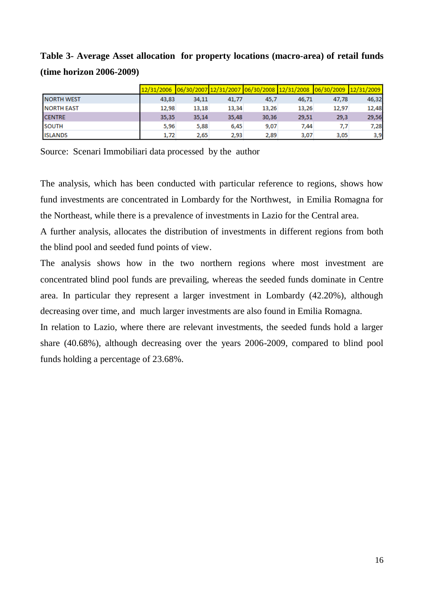**Table 3- Average Asset allocation for property locations (macro-area) of retail funds (time horizon 2006-2009)**

|                   |       |       |       |       | 12/31/2006 06/30/2007 12/31/2007 06/30/2008 12/31/2008 06/30/2009 12/31/2009 |       |       |
|-------------------|-------|-------|-------|-------|------------------------------------------------------------------------------|-------|-------|
| <b>NORTH WEST</b> | 43,83 | 34,11 | 41,77 | 45.7  | 46.71                                                                        | 47,78 | 46,32 |
| <b>NORTH EAST</b> | 12,98 | 13,18 | 13,34 | 13,26 | 13,26                                                                        | 12,97 | 12,48 |
| <b>CENTRE</b>     | 35,35 | 35,14 | 35,48 | 30,36 | 29,51                                                                        | 29,3  | 29,56 |
| <b>SOUTH</b>      | 5,96  | 5,88  | 6.45  | 9,07  | 7,44                                                                         | 7,7   | 7,28  |
| <b>ISLANDS</b>    | 1,72  | 2,65  | 2,93  | 2,89  | 3,07                                                                         | 3,05  | 3,9   |

Source: Scenari Immobiliari data processed by the author

The analysis, which has been conducted with particular reference to regions, shows how fund investments are concentrated in Lombardy for the Northwest, in Emilia Romagna for the Northeast, while there is a prevalence of investments in Lazio for the Central area.

A further analysis, allocates the distribution of investments in different regions from both the blind pool and seeded fund points of view.

The analysis shows how in the two northern regions where most investment are concentrated blind pool funds are prevailing, whereas the seeded funds dominate in Centre area. In particular they represent a larger investment in Lombardy (42.20%), although decreasing over time, and much larger investments are also found in Emilia Romagna.

In relation to Lazio, where there are relevant investments, the seeded funds hold a larger share (40.68%), although decreasing over the years 2006-2009, compared to blind pool funds holding a percentage of 23.68%.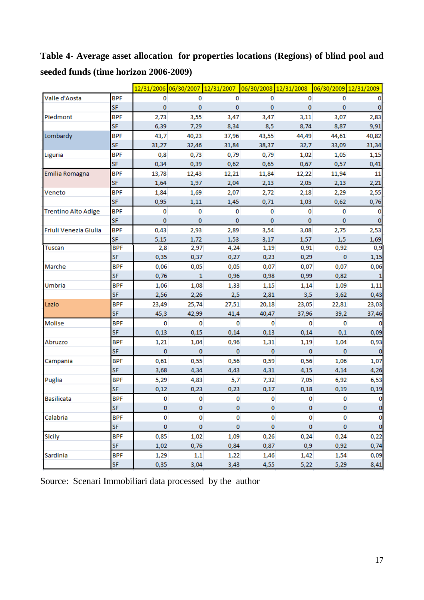**Table 4- Average asset allocation for properties locations (Regions) of blind pool and seeded funds (time horizon 2006-2009)**

|                            |            |             |              | 12/31/2006 06/30/2007 12/31/2007 |             | 06/30/2008 12/31/2008 | 06/30/2009 12/31/2009 |             |
|----------------------------|------------|-------------|--------------|----------------------------------|-------------|-----------------------|-----------------------|-------------|
| Valle d'Aosta              | <b>BPF</b> | 0           | 0            | 0                                | 0           | $\mathbf 0$           | 0                     | 0           |
|                            | <b>SF</b>  | $\bf{0}$    | 0            | $\mathbf 0$                      | 0           | $\mathbf 0$           | 0                     | 0           |
| Piedmont                   | <b>BPF</b> | 2,73        | 3,55         | 3,47                             | 3,47        | 3,11                  | 3,07                  | 2,83        |
|                            | <b>SF</b>  | 6,39        | 7,29         | 8,34                             | 8,5         | 8,74                  | 8,87                  | 9,91        |
| Lombardy                   | <b>BPF</b> | 43,7        | 40,23        | 37,96                            | 43,55       | 44,49                 | 44,61                 | 40,82       |
|                            | SF         | 31,27       | 32,46        | 31,84                            | 38,37       | 32,7                  | 33,09                 | 31,34       |
| Liguria                    | <b>BPF</b> | 0,8         | 0,73         | 0,79                             | 0,79        | 1,02                  | 1,05                  | 1,15        |
|                            | SF         | 0,34        | 0,39         | 0,62                             | 0,65        | 0,67                  | 0,57                  | 0,41        |
| Emilia Romagna             | <b>BPF</b> | 13,78       | 12,43        | 12,21                            | 11,84       | 12,22                 | 11,94                 | 11          |
|                            | SF         | 1,64        | 1,97         | 2,04                             | 2,13        | 2,05                  | 2,13                  | 2,21        |
| Veneto                     | <b>BPF</b> | 1,84        | 1,69         | 2,07                             | 2,72        | 2,18                  | 2,29                  | 2,55        |
|                            | SF         | 0,95        | 1,11         | 1,45                             | 0,71        | 1,03                  | 0,62                  | 0,76        |
| <b>Trentino Alto Adige</b> | <b>BPF</b> | 0           | 0            | 0                                | 0           | $\mathbf 0$           | 0                     | 0           |
|                            | <b>SF</b>  | $\mathbf 0$ | $\mathbf 0$  | $\mathbf 0$                      | $\bf{0}$    | $\bf{0}$              | 0                     | $\bf{0}$    |
| Friuli Venezia Giulia      | <b>BPF</b> | 0,43        | 2,93         | 2,89                             | 3,54        | 3,08                  | 2,75                  | 2,53        |
|                            | SF         | 5,15        | 1,72         | 1,53                             | 3,17        | 1,57                  | 1,5                   | 1,69        |
| Tuscan                     | <b>BPF</b> | 2,8         | 2,97         | 4,24                             | 1,19        | 0,91                  | 0,92                  | 0,9         |
|                            | <b>SF</b>  | 0,35        | 0,37         | 0,27                             | 0,23        | 0,29                  | $\bf{0}$              | 1,15        |
| Marche                     | <b>BPF</b> | 0,06        | 0,05         | 0,05                             | 0,07        | 0,07                  | 0,07                  | 0,06        |
|                            | <b>SF</b>  | 0,76        | $\mathbf{1}$ | 0,96                             | 0,98        | 0,99                  | 0,82                  | $\mathbf 1$ |
| Umbria                     | <b>BPF</b> | 1,06        | 1,08         | 1,33                             | 1,15        | 1,14                  | 1,09                  | 1,11        |
|                            | <b>SF</b>  | 2,56        | 2,26         | 2,5                              | 2,81        | 3,5                   | 3,62                  | 0,43        |
| Lazio                      | <b>BPF</b> | 23,49       | 25,74        | 27,51                            | 20,18       | 23,05                 | 22,81                 | 23,03       |
|                            | <b>SF</b>  | 45,3        | 42,99        | 41,4                             | 40,47       | 37,96                 | 39,2                  | 37,46       |
| Molise                     | <b>BPF</b> | 0           | $\mathbf 0$  | $\mathbf 0$                      | $\mathbf 0$ | $\mathbf 0$           | $\mathbf 0$           | $\bf{0}$    |
|                            | <b>SF</b>  | 0,13        | 0,15         | 0,14                             | 0,13        | 0,14                  | 0,1                   | 0,09        |
| Abruzzo                    | <b>BPF</b> | 1,21        | 1,04         | 0,96                             | 1,31        | 1,19                  | 1,04                  | 0,93        |
|                            | SF         | $\bf{0}$    | $\bf{0}$     | $\mathbf{0}$                     | $\mathbf 0$ | $\mathbf{0}$          | $\mathbf 0$           | $\bf{0}$    |
| Campania                   | <b>BPF</b> | 0,61        | 0,55         | 0,56                             | 0,59        | 0,56                  | 1,06                  | 1,07        |
|                            | <b>SF</b>  | 3,68        | 4,34         | 4,43                             | 4,31        | 4,15                  | 4,14                  | 4,26        |
| Puglia                     | <b>BPF</b> | 5,29        | 4,83         | 5,7                              | 7,32        | 7,05                  | 6,92                  | 6,53        |
|                            | <b>SF</b>  | 0,12        | 0,23         | 0,23                             | 0,17        | 0,18                  | 0,19                  | 0,19        |
| <b>Basilicata</b>          | <b>BPF</b> | 0           | 0            | 0                                | 0           | 0                     | 0                     | $\pmb{0}$   |
|                            | SF         | 0           | 0            | 0                                | 0           | $\bf{0}$              | $\bf{0}$              | $\pmb{0}$   |
| Calabria                   | <b>BPF</b> | 0           | 0            | 0                                | 0           | 0                     | 0                     | 0           |
|                            | <b>SF</b>  | 0           | 0            | 0                                | 0           | 0                     | 0                     | $\bf{0}$    |
| Sicily                     | <b>BPF</b> | 0,85        | 1,02         | 1,09                             | 0,26        | 0,24                  | 0,24                  | 0,22        |
|                            | <b>SF</b>  | 1,02        | 0,76         | 0,84                             | 0,87        | 0,9                   | 0,92                  | 0,74        |
| Sardinia                   | <b>BPF</b> | 1,29        | 1,1          | 1,22                             | 1,46        | 1,42                  | 1,54                  | 0,09        |
|                            | SF         | 0,35        | 3,04         | 3,43                             | 4,55        | 5,22                  | 5,29                  | 8,41        |

Source: Scenari Immobiliari data processed by the author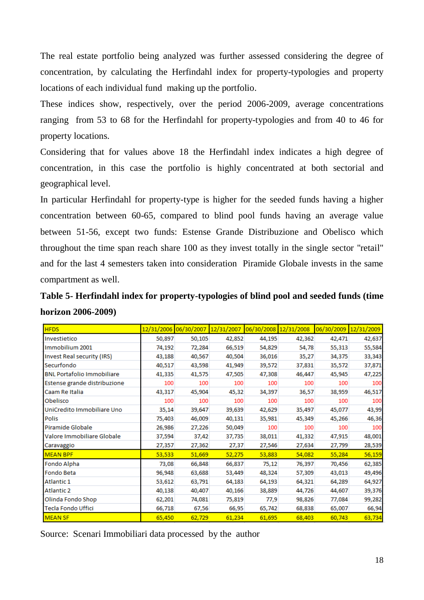The real estate portfolio being analyzed was further assessed considering the degree of concentration, by calculating the Herfindahl index for property-typologies and property locations of each individual fund making up the portfolio.

These indices show, respectively, over the period 2006-2009, average concentrations ranging from 53 to 68 for the Herfindahl for property-typologies and from 40 to 46 for property locations.

Considering that for values above 18 the Herfindahl index indicates a high degree of concentration, in this case the portfolio is highly concentrated at both sectorial and geographical level.

In particular Herfindahl for property-type is higher for the seeded funds having a higher concentration between 60-65, compared to blind pool funds having an average value between 51-56, except two funds: Estense Grande Distribuzione and Obelisco which throughout the time span reach share 100 as they invest totally in the single sector "retail" and for the last 4 semesters taken into consideration Piramide Globale invests in the same compartment as well.

| Table 5- Herfindahl index for property-typologies of blind pool and seeded funds (time |  |
|----------------------------------------------------------------------------------------|--|
| horizon 2006-2009)                                                                     |  |

| <b>HFDS</b>                       | 12/31/2006 06/30/2007 |        | 12/31/2007 | 06/30/2008 12/31/2008 |        | 06/30/2009 | 12/31/2009 |
|-----------------------------------|-----------------------|--------|------------|-----------------------|--------|------------|------------|
| Investietico                      | 50,897                | 50,105 | 42,852     | 44,195                | 42,362 | 42,471     | 42,637     |
| Immobilium 2001                   | 74,192                | 72,284 | 66,519     | 54,829                | 54,78  | 55,313     | 55,584     |
| Invest Real security (IRS)        | 43,188                | 40,567 | 40,504     | 36,016                | 35,27  | 34,375     | 33,343     |
| Securfondo                        | 40,517                | 43,598 | 41,949     | 39,572                | 37,831 | 35,572     | 37,871     |
| <b>BNL Portafolio Immobiliare</b> | 41,335                | 41,575 | 47,505     | 47,308                | 46,447 | 45,945     | 47,225     |
| Estense grande distribuzione      | 100                   | 100    | 100        | 100                   | 100    | 100        | 100        |
| Caam Re Italia                    | 43,317                | 45,904 | 45,32      | 34,397                | 36,57  | 38,959     | 46,517     |
| Obelisco                          | 100                   | 100    | 100        | 100                   | 100    | 100        | 100        |
| UniCredito Immobiliare Uno        | 35,14                 | 39,647 | 39,639     | 42,629                | 35,497 | 45,077     | 43,99      |
| Polis                             | 75,403                | 46,009 | 40,131     | 35,981                | 45,349 | 45,266     | 46,36      |
| Piramide Globale                  | 26,986                | 27,226 | 50,049     | 100                   | 100    | 100        | 100        |
| Valore Immobiliare Globale        | 37,594                | 37,42  | 37,735     | 38,011                | 41,332 | 47,915     | 48,001     |
| Caravaggio                        | 27,357                | 27,362 | 27,37      | 27,546                | 27,634 | 27,799     | 28,539     |
| <b>MEAN BPF</b>                   | 53,533                | 51,669 | 52,275     | 53,883                | 54,082 | 55,284     | 56,159     |
| Fondo Alpha                       | 73,08                 | 66,848 | 66,837     | 75,12                 | 76,397 | 70,456     | 62,385     |
| Fondo Beta                        | 96,948                | 63,688 | 53,449     | 48,324                | 57,309 | 43,013     | 49,496     |
| Atlantic 1                        | 53,612                | 63,791 | 64,183     | 64,193                | 64,321 | 64,289     | 64,927     |
| <b>Atlantic 2</b>                 | 40,138                | 40,407 | 40,166     | 38,889                | 44,726 | 44,607     | 39,376     |
| Olinda Fondo Shop                 | 62,201                | 74,081 | 75,819     | 77,9                  | 98,826 | 77,084     | 99,282     |
| Tecla Fondo Uffici                | 66,718                | 67,56  | 66,95      | 65,742                | 68,838 | 65,007     | 66,94      |
| <b>MEAN SF</b>                    | 65,450                | 62,729 | 61,234     | 61,695                | 68,403 | 60,743     | 63,734     |

Source: Scenari Immobiliari data processed by the author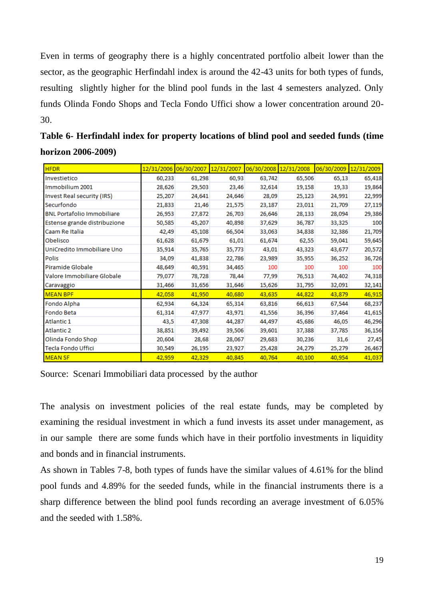Even in terms of geography there is a highly concentrated portfolio albeit lower than the sector, as the geographic Herfindahl index is around the 42-43 units for both types of funds, resulting slightly higher for the blind pool funds in the last 4 semesters analyzed. Only funds Olinda Fondo Shops and Tecla Fondo Uffici show a lower concentration around 20- 30.

| <b>HFDR</b>                       | 12/31/2006 | 06/30/2007 | 12/31/2007 | 06/30/2008 12/31/2008 |        | 06/30/2009 12/31/2009 |        |
|-----------------------------------|------------|------------|------------|-----------------------|--------|-----------------------|--------|
| Investietico                      | 60,233     | 61,298     | 60,93      | 63,742                | 65,506 | 65,13                 | 65,418 |
| Immobilium 2001                   | 28,626     | 29,503     | 23,46      | 32,614                | 19,158 | 19,33                 | 19,864 |
| Invest Real security (IRS)        | 25,207     | 24,641     | 24,646     | 28,09                 | 25,123 | 24,991                | 22,999 |
| Securfondo                        | 21,833     | 21,46      | 21,575     | 23,187                | 23,011 | 21,709                | 27,119 |
| <b>BNL Portafolio Immobiliare</b> | 26,953     | 27,872     | 26,703     | 26,646                | 28,133 | 28,094                | 29,386 |
| Estense grande distribuzione      | 50,585     | 45,207     | 40,898     | 37,629                | 36,787 | 33,325                | 100    |
| Caam Re Italia                    | 42,49      | 45,108     | 66,504     | 33,063                | 34,838 | 32,386                | 21,709 |
| Obelisco                          | 61,628     | 61,679     | 61,01      | 61,674                | 62,55  | 59,041                | 59,645 |
| UniCredito Immobiliare Uno        | 35,914     | 35,765     | 35,773     | 43,01                 | 43,323 | 43,677                | 20,572 |
| <b>Polis</b>                      | 34,09      | 41,838     | 22,786     | 23,989                | 35,955 | 36,252                | 36,726 |
| Piramide Globale                  | 48,649     | 40,591     | 34,465     | 100                   | 100    | 100                   | 100    |
| Valore Immobiliare Globale        | 79,077     | 78,728     | 78,44      | 77,99                 | 76,513 | 74,402                | 74,318 |
| Caravaggio                        | 31,466     | 31,656     | 31,646     | 15,626                | 31,795 | 32,091                | 32,141 |
| <b>MEAN BPF</b>                   | 42.058     | 41,950     | 40,680     | 43,635                | 44,822 | 43,879                | 46,915 |
| Fondo Alpha                       | 62,934     | 64,324     | 65,314     | 63,816                | 66,613 | 67,544                | 68,237 |
| Fondo Beta                        | 61,314     | 47,977     | 43,971     | 41,556                | 36,396 | 37,464                | 41,615 |
| Atlantic 1                        | 43,5       | 47,308     | 44,287     | 44,497                | 45,686 | 46,05                 | 46,296 |
| <b>Atlantic 2</b>                 | 38,851     | 39,492     | 39,506     | 39,601                | 37,388 | 37,785                | 36,156 |
| Olinda Fondo Shop                 | 20,604     | 28,68      | 28,067     | 29,683                | 30,236 | 31,6                  | 27,45  |
| <b>Tecla Fondo Uffici</b>         | 30,549     | 26,195     | 23,927     | 25,428                | 24,279 | 25,279                | 26,467 |
| <b>MEAN SF</b>                    | 42,959     | 42,329     | 40,845     | 40,764                | 40,100 | 40,954                | 41,037 |

| Table 6- Herfindahl index for property locations of blind pool and seeded funds (time |  |
|---------------------------------------------------------------------------------------|--|
| horizon 2006-2009)                                                                    |  |

Source: Scenari Immobiliari data processed by the author

The analysis on investment policies of the real estate funds, may be completed by examining the residual investment in which a fund invests its asset under management, as in our sample there are some funds which have in their portfolio investments in liquidity and bonds and in financial instruments.

As shown in Tables 7-8, both types of funds have the similar values of 4.61% for the blind pool funds and 4.89% for the seeded funds, while in the financial instruments there is a sharp difference between the blind pool funds recording an average investment of 6.05% and the seeded with 1.58%.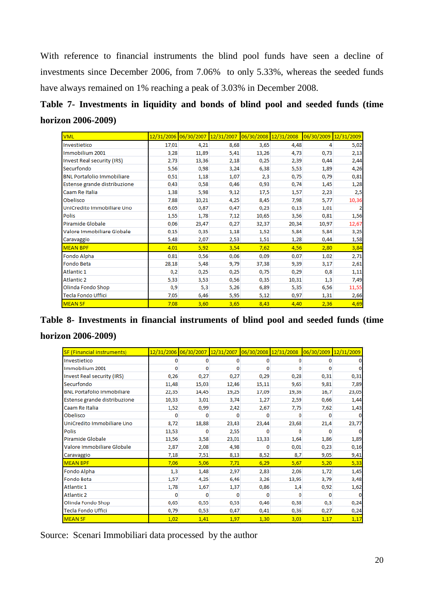With reference to financial instruments the blind pool funds have seen a decline of investments since December 2006, from 7.06% to only 5.33%, whereas the seeded funds have always remained on 1% reaching a peak of 3.03% in December 2008.

# **Table 7- Investments in liquidity and bonds of blind pool and seeded funds (time horizon 2006-2009)**

| <b>VML</b>                        |       | 12/31/2006 06/30/2007 | 12/31/2007 | 06/30/2008 12/31/2008 |       | 06/30/2009 12/31/2009 |       |
|-----------------------------------|-------|-----------------------|------------|-----------------------|-------|-----------------------|-------|
| Investietico                      | 17,01 | 4,21                  | 8,68       | 3,65                  | 4,48  | 4                     | 5,02  |
| Immobilium 2001                   | 3,28  | 11,89                 | 5,41       | 13,26                 | 4,73  | 0,73                  | 2,13  |
| <b>Invest Real security (IRS)</b> | 2,73  | 13,36                 | 2,18       | 0,25                  | 2,39  | 0,44                  | 2,44  |
| Securfondo                        | 5,56  | 0,98                  | 3,24       | 6,38                  | 5,53  | 1,89                  | 4,26  |
| <b>BNL Portafolio Immobiliare</b> | 0,51  | 1,18                  | 1,07       | 2,3                   | 0,75  | 0,79                  | 0,81  |
| Estense grande distribuzione      | 0,43  | 0,58                  | 0,46       | 0,93                  | 0,74  | 1,45                  | 1,28  |
| Caam Re Italia                    | 1,38  | 5,98                  | 9,12       | 17,5                  | 1,57  | 2,23                  | 2,5   |
| Obelisco                          | 7,88  | 10,21                 | 4,25       | 8,45                  | 7,98  | 5,77                  | 10,36 |
| UniCredito Immobiliare Uno        | 6,05  | 0,87                  | 0,47       | 0,23                  | 0,13  | 1,01                  | 2     |
| <b>Polis</b>                      | 1,55  | 1,78                  | 7,12       | 10,65                 | 3,56  | 0,81                  | 1,56  |
| Piramide Globale                  | 0,06  | 23,47                 | 0,27       | 32,37                 | 20,34 | 10,97                 | 12,67 |
| Valore Immobiliare Globale        | 0,15  | 0,35                  | 1,18       | 1,52                  | 5,84  | 5,84                  | 3,25  |
| Caravaggio                        | 5,48  | 2,07                  | 2,53       | 1,51                  | 1,28  | 0,44                  | 1,58  |
| <b>MEAN BPF</b>                   | 4,01  | 5,92                  | 3,54       | 7,62                  | 4,56  | 2,80                  | 3,84  |
| Fondo Alpha                       | 0,81  | 0,56                  | 0,06       | 0,09                  | 0,07  | 1,02                  | 2,71  |
| Fondo Beta                        | 28,18 | 5,48                  | 9,79       | 37,38                 | 9,39  | 3,17                  | 2,61  |
| Atlantic 1                        | 0,2   | 0,25                  | 0,25       | 0,75                  | 0,29  | 0,8                   | 1,11  |
| <b>Atlantic 2</b>                 | 5,33  | 3,53                  | 0,56       | 0,35                  | 10,31 | 1,3                   | 7,49  |
| Olinda Fondo Shop                 | 0,9   | 5,3                   | 5,26       | 6,89                  | 5,35  | 6,56                  | 11,55 |
| <b>Tecla Fondo Uffici</b>         | 7,05  | 6,46                  | 5,95       | 5,12                  | 0,97  | 1,31                  | 2,66  |
| <b>MEAN SF</b>                    | 7,08  | 3,60                  | 3,65       | 8,43                  | 4,40  | 2,36                  | 4,69  |

# **Table 8- Investments in financial instruments of blind pool and seeded funds (time horizon 2006-2009)**

| <b>SF (Financial instruments)</b> | 12/31/2006 | 06/30/2007 | 12/31/2007 06/30/2008 12/31/2008 |          |       | 06/30/2009 | 12/31/2009 |
|-----------------------------------|------------|------------|----------------------------------|----------|-------|------------|------------|
| Investietico                      | 0          | 0          | 0                                | 0        | o     | o          |            |
| Immobilium 2001                   | 0          | 0          | o                                | o        | o     | o          | o          |
| Invest Real security (IRS)        | 0,26       | 0,27       | 0,27                             | 0,29     | 0,28  | 0,31       | 0,31       |
| Securfondo                        | 11,48      | 15,03      | 12,46                            | 15,11    | 9,65  | 9,81       | 7,89       |
| <b>BNL Portafolio Immobiliare</b> | 22,35      | 14,45      | 19,25                            | 17,09    | 19,36 | 16,7       | 23,05      |
| Estense grande distribuzione      | 10,33      | 3,01       | 3,74                             | 1,27     | 2,59  | 0,66       | 1,44       |
| Caam Re Italia                    | 1,52       | 0,99       | 2,42                             | 2,67     | 7,75  | 7,62       | 1,43       |
| Obelisco                          | o          | o          | o                                | o        | n     | o          | o          |
| UniCredito Immobiliare Uno        | 8,72       | 18,88      | 23,43                            | 23,44    | 23,68 | 21,4       | 23,77      |
| <b>Polis</b>                      | 13,53      | 0          | 2,55                             | 0        | o     | o          | $\bf{0}$   |
| Piramide Globale                  | 13,56      | 3,58       | 23,01                            | 13,33    | 1,64  | 1,86       | 1,89       |
| Valore Immobiliare Globale        | 2,87       | 2,08       | 4,98                             | 0        | 0,01  | 0,23       | 0,16       |
| Caravaggio                        | 7,18       | 7,51       | 8,13                             | 8,52     | 8,7   | 9,05       | 9,41       |
| <b>MEAN BPF</b>                   | 7,06       | 5,06       | 7,71                             | 6,29     | 5,67  | 5,20       | 5,33       |
| Fondo Alpha                       | 1,3        | 1,48       | 2,97                             | 2,83     | 2,06  | 1,72       | 1,45       |
| Fondo Beta                        | 1,57       | 4,25       | 6,46                             | 3,26     | 13,95 | 3,79       | 3,48       |
| Atlantic 1                        | 1,78       | 1,67       | 1,37                             | 0,86     | 1,4   | 0,92       | 1,62       |
| <b>Atlantic 2</b>                 | o          | $\Omega$   | o                                | $\Omega$ | O     | O          | $\Omega$   |
| Olinda Fondo Shop                 | 0,65       | 0,55       | 0,53                             | 0,46     | 0,38  | 0,3        | 0,24       |
| <b>Tecla Fondo Uffici</b>         | 0,79       | 0,53       | 0,47                             | 0,41     | 0,36  | 0,27       | 0,24       |
| <b>MEAN SF</b>                    | 1,02       | 1,41       | 1,97                             | 1,30     | 3,03  | 1,17       | 1,17       |

Source: Scenari Immobiliari data processed by the author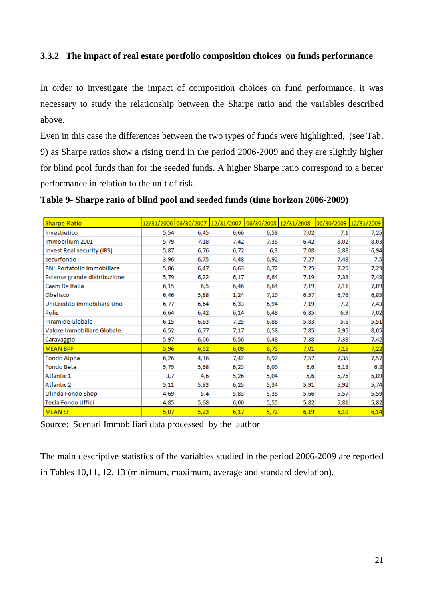## **3.3.2 The impact of real estate portfolio composition choices on funds performance**

In order to investigate the impact of composition choices on fund performance, it was necessary to study the relationship between the Sharpe ratio and the variables described above.

Even in this case the differences between the two types of funds were highlighted, (see Tab. 9) as Sharpe ratios show a rising trend in the period 2006-2009 and they are slightly higher for blind pool funds than for the seeded funds. A higher Sharpe ratio correspond to a better performance in relation to the unit of risk.

|  | Table 9- Sharpe ratio of blind pool and seeded funds (time horizon 2006-2009) |  |  |  |  |
|--|-------------------------------------------------------------------------------|--|--|--|--|
|--|-------------------------------------------------------------------------------|--|--|--|--|

| <b>Sharpe Ratio</b>               | 12/31/2006 06/30/2007 |      | 12/31/2007 | 06/30/2008 12/31/2008 |      | 06/30/2009 | 12/31/2009 |
|-----------------------------------|-----------------------|------|------------|-----------------------|------|------------|------------|
| Investietico                      | 5,54                  | 6,45 | 6,66       | 6,58                  | 7,02 | 7,1        | 7,25       |
| Immobilium 2001                   | 5,79                  | 7,18 | 7,42       | 7,35                  | 6,42 | 8,02       | 8,03       |
| Invest Real security (IRS)        | 5,87                  | 6,76 | 6,72       | 6,3                   | 7,08 | 6,88       | 6,94       |
| securfondo                        | 3,96                  | 6,75 | 4,48       | 6,92                  | 7,27 | 7,48       | 7,5        |
| <b>BNL Portafolio Immobiliare</b> | 5,86                  | 6,47 | 6,63       | 6,72                  | 7,25 | 7,26       | 7,29       |
| Estense grande distribuzione      | 5,79                  | 6,22 | 6,17       | 6,64                  | 7,19 | 7,33       | 7,48       |
| Caam Re Italia                    | 6,15                  | 6,5  | 6,46       | 6,64                  | 7,19 | 7,11       | 7,09       |
| Obelisco                          | 6,46                  | 5,88 | 1,24       | 7,19                  | 6,57 | 6,76       | 6,85       |
| UniCredito Immobiliare Uno        | 6,77                  | 6,64 | 6,33       | 6,94                  | 7,19 | 7,2        | 7,43       |
| <b>Polis</b>                      | 6,64                  | 6,42 | 6,14       | 6,48                  | 6,85 | 6,9        | 7,02       |
| Piramide Globale                  | 6,15                  | 6,63 | 7,25       | 6,88                  | 5,83 | 5,6        | 5,51       |
| Valore Immobiliare Globale        | 6,52                  | 6,77 | 7,17       | 6,58                  | 7,85 | 7,95       | 8,05       |
| Caravaggio                        | 5,97                  | 6,06 | 6,56       | 6,48                  | 7,38 | 7,38       | 7,42       |
| <b>MEAN BPF</b>                   | 5,96                  | 6,52 | 6,09       | 6,75                  | 7,01 | 7,15       | 7,22       |
| Fondo Alpha                       | 6,26                  | 4,16 | 7,42       | 6,92                  | 7,57 | 7,35       | 7,57       |
| Fondo Beta                        | 5,79                  | 5,68 | 6,23       | 6,09                  | 6,6  | 6,18       | 6,2        |
| Atlantic 1                        | 3,7                   | 4,6  | 5,26       | 5,04                  | 5,6  | 5,75       | 5,89       |
| <b>Atlantic 2</b>                 | 5,11                  | 5,83 | 6,25       | 5,34                  | 5,91 | 5,92       | 5,74       |
| Olinda Fondo Shop                 | 4,69                  | 5,4  | 5,83       | 5,35                  | 5,66 | 5,57       | 5,59       |
| Tecla Fondo Uffici                | 4,85                  | 5,68 | 6,00       | 5,55                  | 5,82 | 5,81       | 5,82       |
| <b>MEAN SF</b>                    | 5,07                  | 5,23 | 6,17       | 5,72                  | 6,19 | 6,10       | 6,14       |

Source: Scenari Immobiliari data processed by the author

The main descriptive statistics of the variables studied in the period 2006-2009 are reported in Tables 10,11, 12, 13 (minimum, maximum, average and standard deviation).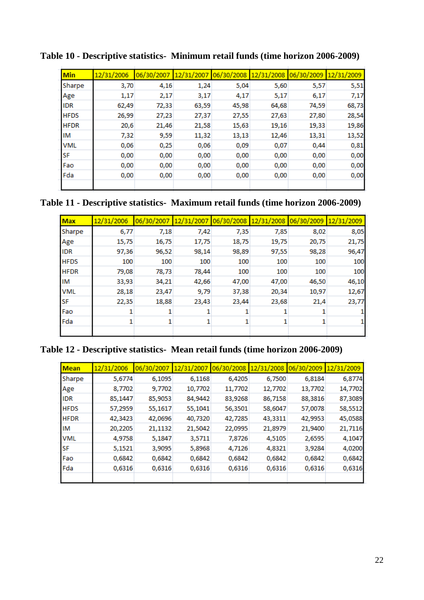| Min         | 12/31/2006 | 06/30/2007 |       | 12/31/2007 06/30/2008 | 12/31/2008 06/30/2009 |       | 12/31/2009 |
|-------------|------------|------------|-------|-----------------------|-----------------------|-------|------------|
| Sharpe      | 3,70       | 4,16       | 1,24  | 5,04                  | 5,60                  | 5,57  | 5,51       |
| Age         | 1,17       | 2,17       | 3,17  | 4,17                  | 5,17                  | 6,17  | 7,17       |
| <b>IDR</b>  | 62,49      | 72,33      | 63,59 | 45,98                 | 64,68                 | 74,59 | 68,73      |
| <b>HFDS</b> | 26,99      | 27,23      | 27,37 | 27,55                 | 27,63                 | 27,80 | 28,54      |
| <b>HFDR</b> | 20,6       | 21,46      | 21,58 | 15,63                 | 19,16                 | 19,33 | 19,86      |
| IM          | 7,32       | 9,59       | 11,32 | 13,13                 | 12,46                 | 13,31 | 13,52      |
| <b>VML</b>  | 0,06       | 0,25       | 0,06  | 0,09                  | 0,07                  | 0,44  | 0,81       |
| SF          | 0,00       | 0,00       | 0,00  | 0,00                  | 0,00                  | 0,00  | 0,00       |
| Fao         | 0,00       | 0,00       | 0,00  | 0,00                  | 0,00                  | 0,00  | 0,00       |
| Fda         | 0,00       | 0,00       | 0,00  | 0,00                  | 0,00                  | 0,00  | 0,00       |
|             |            |            |       |                       |                       |       |            |

**Table 10 - Descriptive statistics- Minimum retail funds (time horizon 2006-2009)**

## **Table 11 - Descriptive statistics- Maximum retail funds (time horizon 2006-2009)**

| <b>Max</b>  | 12/31/2006 | 06/30/2007 | 12/31/2007 | 06/30/2008 |       | 12/31/2008 06/30/2009 12/31/2009 |       |
|-------------|------------|------------|------------|------------|-------|----------------------------------|-------|
| Sharpe      | 6,77       | 7,18       | 7,42       | 7,35       | 7,85  | 8,02                             | 8,05  |
| Age         | 15,75      | 16,75      | 17,75      | 18,75      | 19,75 | 20,75                            | 21,75 |
| IDR         | 97,36      | 96,52      | 98,14      | 98,89      | 97,55 | 98,28                            | 96,47 |
| <b>HFDS</b> | 100        | 100        | 100        | 100        | 100   | 100                              | 100   |
| <b>HFDR</b> | 79,08      | 78,73      | 78,44      | 100        | 100   | 100                              | 100   |
| ΙM          | 33,93      | 34,21      | 42,66      | 47,00      | 47,00 | 46,50                            | 46,10 |
| <b>VML</b>  | 28,18      | 23,47      | 9,79       | 37,38      | 20,34 | 10,97                            | 12,67 |
| SF          | 22,35      | 18,88      | 23,43      | 23,44      | 23,68 | 21,4                             | 23,77 |
| Fao         |            |            |            |            |       |                                  |       |
| Fda         |            |            | 1          |            |       |                                  |       |
|             |            |            |            |            |       |                                  |       |

## **Table 12 - Descriptive statistics- Mean retail funds (time horizon 2006-2009)**

| <b>Mean</b> | 12/31/2006 | 06/30/2007 | 12/31/2007 | 06/30/2008 | 12/31/2008 | 06/30/2009 | 12/31/2009 |
|-------------|------------|------------|------------|------------|------------|------------|------------|
| Sharpe      | 5,6774     | 6,1095     | 6,1168     | 6,4205     | 6,7500     | 6,8184     | 6,8774     |
| Age         | 8,7702     | 9,7702     | 10,7702    | 11,7702    | 12,7702    | 13,7702    | 14,7702    |
| <b>IDR</b>  | 85,1447    | 85,9053    | 84,9442    | 83,9268    | 86,7158    | 88,3816    | 87,3089    |
| <b>HFDS</b> | 57,2959    | 55,1617    | 55,1041    | 56,3501    | 58,6047    | 57,0078    | 58,5512    |
| <b>HFDR</b> | 42,3423    | 42,0696    | 40,7320    | 42,7285    | 43,3311    | 42,9953    | 45,0588    |
| IM          | 20,2205    | 21,1132    | 21,5042    | 22,0995    | 21,8979    | 21,9400    | 21,7116    |
| <b>VML</b>  | 4,9758     | 5,1847     | 3,5711     | 7,8726     | 4,5105     | 2,6595     | 4,1047     |
| SF          | 5,1521     | 3,9095     | 5,8968     | 4,7126     | 4,8321     | 3,9284     | 4,0200     |
| Fao         | 0,6842     | 0,6842     | 0,6842     | 0,6842     | 0,6842     | 0,6842     | 0,6842     |
| Fda         | 0,6316     | 0,6316     | 0,6316     | 0,6316     | 0,6316     | 0,6316     | 0,6316     |
|             |            |            |            |            |            |            |            |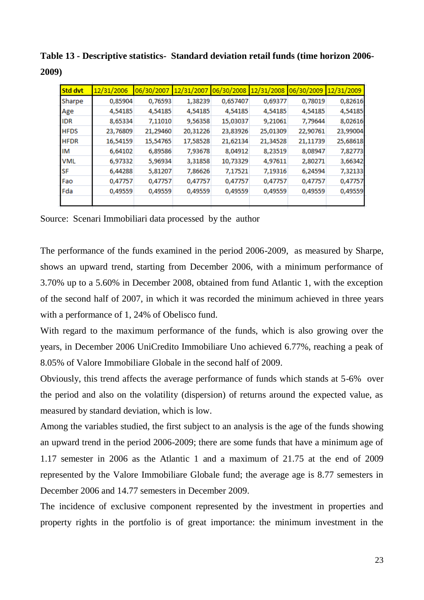| <b>Std dvt</b> | 12/31/2006 | 06/30/2007 | 12/31/2007 06/30/2008 |          | 12/31/2008 | 06/30/2009 | 12/31/2009 |
|----------------|------------|------------|-----------------------|----------|------------|------------|------------|
| Sharpe         | 0,85904    | 0,76593    | 1,38239               | 0,657407 | 0,69377    | 0,78019    | 0,82616    |
| Age            | 4,54185    | 4,54185    | 4,54185               | 4,54185  | 4,54185    | 4,54185    | 4,54185    |
| <b>IDR</b>     | 8,65334    | 7,11010    | 9,56358               | 15,03037 | 9,21061    | 7,79644    | 8,02616    |
| <b>HFDS</b>    | 23,76809   | 21,29460   | 20,31226              | 23,83926 | 25,01309   | 22,90761   | 23,99004   |
| <b>HFDR</b>    | 16,54159   | 15,54765   | 17,58528              | 21,62134 | 21,34528   | 21,11739   | 25,68618   |
| ΙM             | 6,64102    | 6,89586    | 7,93678               | 8,04912  | 8,23519    | 8,08947    | 7,82773    |
| <b>VML</b>     | 6,97332    | 5,96934    | 3,31858               | 10,73329 | 4,97611    | 2,80271    | 3,66342    |
| <b>SF</b>      | 6,44288    | 5,81207    | 7,86626               | 7,17521  | 7,19316    | 6,24594    | 7,32133    |
| Fao            | 0,47757    | 0,47757    | 0,47757               | 0,47757  | 0,47757    | 0,47757    | 0,47757    |
| Fda            | 0,49559    | 0,49559    | 0,49559               | 0,49559  | 0,49559    | 0,49559    | 0,49559    |
|                |            |            |                       |          |            |            |            |

**Table 13 - Descriptive statistics- Standard deviation retail funds (time horizon 2006- 2009)**

Source: Scenari Immobiliari data processed by the author

The performance of the funds examined in the period 2006-2009, as measured by Sharpe, shows an upward trend, starting from December 2006, with a minimum performance of 3.70% up to a 5.60% in December 2008, obtained from fund Atlantic 1, with the exception of the second half of 2007, in which it was recorded the minimum achieved in three years with a performance of 1, 24% of Obelisco fund.

With regard to the maximum performance of the funds, which is also growing over the years, in December 2006 UniCredito Immobiliare Uno achieved 6.77%, reaching a peak of 8.05% of Valore Immobiliare Globale in the second half of 2009.

Obviously, this trend affects the average performance of funds which stands at 5-6% over the period and also on the volatility (dispersion) of returns around the expected value, as measured by standard deviation, which is low.

Among the variables studied, the first subject to an analysis is the age of the funds showing an upward trend in the period 2006-2009; there are some funds that have a minimum age of 1.17 semester in 2006 as the Atlantic 1 and a maximum of 21.75 at the end of 2009 represented by the Valore Immobiliare Globale fund; the average age is 8.77 semesters in December 2006 and 14.77 semesters in December 2009.

The incidence of exclusive component represented by the investment in properties and property rights in the portfolio is of great importance: the minimum investment in the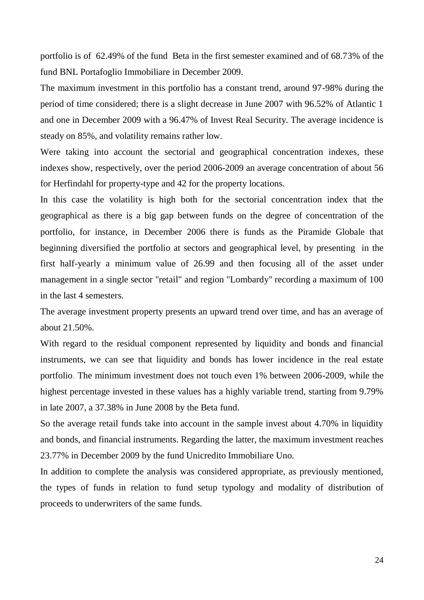portfolio is of 62.49% of the fund Beta in the first semester examined and of 68.73% of the fund BNL Portafoglio Immobiliare in December 2009.

The maximum investment in this portfolio has a constant trend, around 97-98% during the period of time considered; there is a slight decrease in June 2007 with 96.52% of Atlantic 1 and one in December 2009 with a 96.47% of Invest Real Security. The average incidence is steady on 85%, and volatility remains rather low.

Were taking into account the sectorial and geographical concentration indexes, these indexes show, respectively, over the period 2006-2009 an average concentration of about 56 for Herfindahl for property-type and 42 for the property locations.

In this case the volatility is high both for the sectorial concentration index that the geographical as there is a big gap between funds on the degree of concentration of the portfolio, for instance, in December 2006 there is funds as the Piramide Globale that beginning diversified the portfolio at sectors and geographical level, by presenting in the first half-yearly a minimum value of 26.99 and then focusing all of the asset under management in a single sector "retail" and region "Lombardy" recording a maximum of 100 in the last 4 semesters.

The average investment property presents an upward trend over time, and has an average of about 21.50%.

With regard to the residual component represented by liquidity and bonds and financial instruments, we can see that liquidity and bonds has lower incidence in the real estate portfolio. The minimum investment does not touch even 1% between 2006-2009, while the highest percentage invested in these values has a highly variable trend, starting from 9.79% in late 2007, a 37.38% in June 2008 by the Beta fund.

So the average retail funds take into account in the sample invest about 4.70% in liquidity and bonds, and financial instruments. Regarding the latter, the maximum investment reaches 23.77% in December 2009 by the fund Unicredito Immobiliare Uno.

In addition to complete the analysis was considered appropriate, as previously mentioned, the types of funds in relation to fund setup typology and modality of distribution of proceeds to underwriters of the same funds.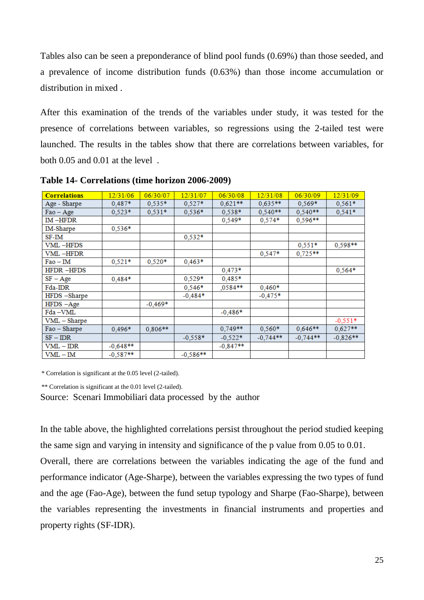Tables also can be seen a preponderance of blind pool funds (0.69%) than those seeded, and a prevalence of income distribution funds (0.63%) than those income accumulation or distribution in mixed .

After this examination of the trends of the variables under study, it was tested for the presence of correlations between variables, so regressions using the 2-tailed test were launched. The results in the tables show that there are correlations between variables, for both 0.05 and 0.01 at the level .

| <b>Correlations</b> | 12/31/06   | 06/30/07  | 12/31/07   | 06/30/08   | 12/31/08   | 06/30/09   | 12/31/09   |
|---------------------|------------|-----------|------------|------------|------------|------------|------------|
| Age - Sharpe        | 0,487*     | $0,535*$  | $0,527*$   | $0,621**$  | $0,635**$  | $0,569*$   | $0,561*$   |
| $Fao - Age$         | $0,523*$   | $0,531*$  | $0,536*$   | $0.538*$   | $0,540**$  | $0,540**$  | 0,541*     |
| $IM$ $-HFDR$        |            |           |            | $0,549*$   | $0,574*$   | $0,596**$  |            |
| IM-Sharpe           | $0,536*$   |           |            |            |            |            |            |
| SF-IM               |            |           | $0.532*$   |            |            |            |            |
| VML-HFDS            |            |           |            |            |            | $0,551*$   | 0,598**    |
| <b>VML-HFDR</b>     |            |           |            |            | $0,547*$   | $0,725**$  |            |
| $Fao - IM$          | $0,521*$   | $0,520*$  | $0,463*$   |            |            |            |            |
| <b>HFDR-HFDS</b>    |            |           |            | $0,473*$   |            |            | $0,564*$   |
| $SF - Age$          | $0,484*$   |           | $0,529*$   | $0,485*$   |            |            |            |
| Fda-IDR             |            |           | $0,546*$   | $,0584**$  | $0,460*$   |            |            |
| HFDS -Sharpe        |            |           | $-0.484*$  |            | $-0,475*$  |            |            |
| HFDS - Age          |            | $-0,469*$ |            |            |            |            |            |
| Fda-VML             |            |           |            | $-0,486*$  |            |            |            |
| VML - Sharpe        |            |           |            |            |            |            | $-0.551*$  |
| Fao - Sharpe        | $0.496*$   | $0,806**$ |            | $0,749**$  | $0,560*$   | $0,646**$  | $0,627**$  |
| $SF - DR$           |            |           | $-0.558*$  | $-0,522*$  | $-0,744**$ | $-0,744**$ | $-0,826**$ |
| VML – IDR           | $-0,648**$ |           |            | $-0,847**$ |            |            |            |
| VML – IM            | $-0,587**$ |           | $-0,586**$ |            |            |            |            |

**Table 14- Correlations (time horizon 2006-2009)**

\* Correlation is significant at the 0.05 level (2-tailed).

\*\* Correlation is significant at the 0.01 level (2-tailed).

Source: Scenari Immobiliari data processed by the author

In the table above, the highlighted correlations persist throughout the period studied keeping the same sign and varying in intensity and significance of the p value from 0.05 to 0.01.

Overall, there are correlations between the variables indicating the age of the fund and performance indicator (Age-Sharpe), between the variables expressing the two types of fund and the age (Fao-Age), between the fund setup typology and Sharpe (Fao-Sharpe), between the variables representing the investments in financial instruments and properties and property rights (SF-IDR).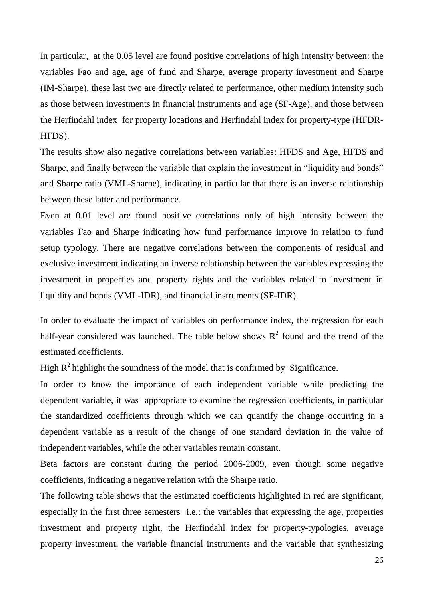In particular, at the 0.05 level are found positive correlations of high intensity between: the variables Fao and age, age of fund and Sharpe, average property investment and Sharpe (IM-Sharpe), these last two are directly related to performance, other medium intensity such as those between investments in financial instruments and age (SF-Age), and those between the Herfindahl index for property locations and Herfindahl index for property-type (HFDR-HFDS).

The results show also negative correlations between variables: HFDS and Age, HFDS and Sharpe, and finally between the variable that explain the investment in "liquidity and bonds" and Sharpe ratio (VML-Sharpe), indicating in particular that there is an inverse relationship between these latter and performance.

Even at 0.01 level are found positive correlations only of high intensity between the variables Fao and Sharpe indicating how fund performance improve in relation to fund setup typology. There are negative correlations between the components of residual and exclusive investment indicating an inverse relationship between the variables expressing the investment in properties and property rights and the variables related to investment in liquidity and bonds (VML-IDR), and financial instruments (SF-IDR).

In order to evaluate the impact of variables on performance index, the regression for each half-year considered was launched. The table below shows  $R^2$  found and the trend of the estimated coefficients.

High  $R^2$  highlight the soundness of the model that is confirmed by Significance.

In order to know the importance of each independent variable while predicting the dependent variable, it was appropriate to examine the regression coefficients, in particular the standardized coefficients through which we can quantify the change occurring in a dependent variable as a result of the change of one standard deviation in the value of independent variables, while the other variables remain constant.

Beta factors are constant during the period 2006-2009, even though some negative coefficients, indicating a negative relation with the Sharpe ratio.

The following table shows that the estimated coefficients highlighted in red are significant, especially in the first three semesters i.e.: the variables that expressing the age, properties investment and property right, the Herfindahl index for property-typologies, average property investment, the variable financial instruments and the variable that synthesizing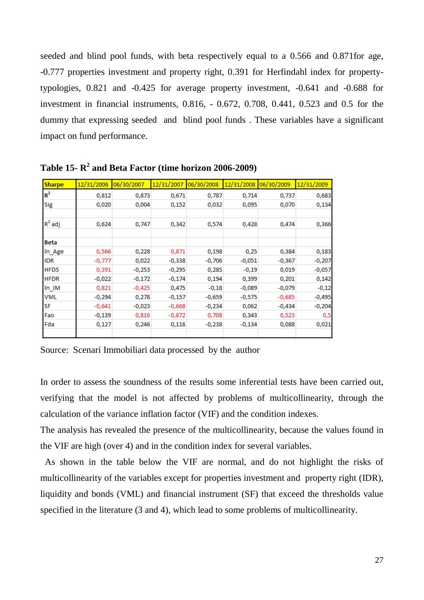seeded and blind pool funds, with beta respectively equal to a 0.566 and 0.871for age, -0.777 properties investment and property right, 0.391 for Herfindahl index for propertytypologies, 0.821 and -0.425 for average property investment, -0.641 and -0.688 for investment in financial instruments, 0.816, - 0.672, 0.708, 0.441, 0.523 and 0.5 for the dummy that expressing seeded and blind pool funds . These variables have a significant impact on fund performance.

| <b>Sharpe</b> | 12/31/2006 | 06/30/2007 | 12/31/2007 | 06/30/2008 | 12/31/2008 | 06/30/2009 | 12/31/2009 |
|---------------|------------|------------|------------|------------|------------|------------|------------|
| $R^2$         | 0,812      | 0,873      | 0,671      | 0,787      | 0,714      | 0,737      | 0,683      |
| Sig           | 0,020      | 0,004      | 0,152      | 0,032      | 0,095      | 0,070      | 0,134      |
| $R^2$ adj     | 0,624      | 0,747      | 0,342      | 0,574      | 0,428      | 0,474      | 0,366      |
| Beta          |            |            |            |            |            |            |            |
| In_Age        | 0,566      | 0,228      | 0,871      | 0,198      | 0,25       | 0,384      | 0,183      |
| <b>IDR</b>    | $-0,777$   | 0,022      | $-0,338$   | $-0,706$   | $-0,051$   | $-0,367$   | $-0,207$   |
| <b>HFDS</b>   | 0,391      | $-0,253$   | $-0,295$   | 0,285      | $-0,19$    | 0,019      | $-0,057$   |
| <b>HFDR</b>   | $-0,022$   | $-0,172$   | $-0,174$   | 0,194      | 0,399      | 0,201      | 0,142      |
| In IM         | 0,821      | $-0,425$   | 0,475      | $-0,18$    | $-0,089$   | $-0,079$   | $-0,12$    |
| <b>VML</b>    | $-0,294$   | 0,278      | $-0,157$   | $-0,659$   | $-0,575$   | $-0,685$   | $-0,495$   |
| SF            | $-0,641$   | $-0,023$   | $-0,668$   | $-0,234$   | 0,062      | $-0,434$   | $-0,204$   |
| Fao           | $-0,139$   | 0,816      | $-0,672$   | 0,708      | 0,343      | 0,523      | 0,5        |
| Fda           | 0,127      | 0,246      | 0,116      | $-0,238$   | $-0,134$   | 0,088      | 0,021      |

**Table 15- R 2 and Beta Factor (time horizon 2006-2009)**

Source: Scenari Immobiliari data processed by the author

In order to assess the soundness of the results some inferential tests have been carried out, verifying that the model is not affected by problems of multicollinearity, through the calculation of the variance inflation factor (VIF) and the condition indexes.

The analysis has revealed the presence of the multicollinearity, because the values found in the VIF are high (over 4) and in the condition index for several variables.

 As shown in the table below the VIF are normal, and do not highlight the risks of multicollinearity of the variables except for properties investment and property right (IDR), liquidity and bonds (VML) and financial instrument (SF) that exceed the thresholds value specified in the literature (3 and 4), which lead to some problems of multicollinearity.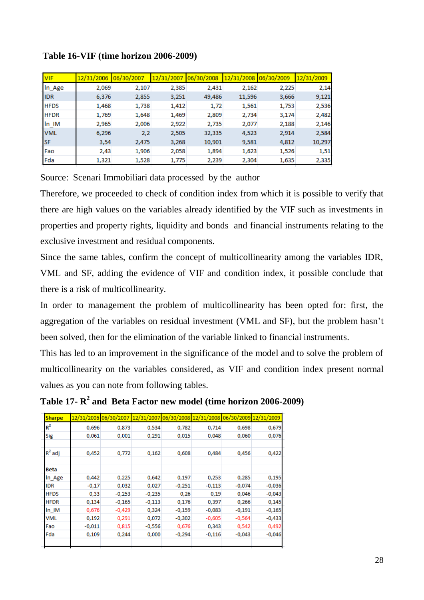| <b>VIF</b>  | 12/31/2006 | 06/30/2007 | 12/31/2007 | 106/30/2008 | 12/31/2008 | 106/30/2009 | 12/31/2009 |
|-------------|------------|------------|------------|-------------|------------|-------------|------------|
| In_Age      | 2,069      | 2,107      | 2,385      | 2,431       | 2,162      | 2,225       | 2,14       |
| <b>IDR</b>  | 6,376      | 2,855      | 3,251      | 49,486      | 11,596     | 3,666       | 9,121      |
| <b>HFDS</b> | 1,468      | 1,738      | 1,412      | 1,72        | 1,561      | 1,753       | 2,536      |
| <b>HFDR</b> | 1,769      | 1,648      | 1,469      | 2,809       | 2,734      | 3,174       | 2,482      |
| In IM       | 2,965      | 2,006      | 2,922      | 2,735       | 2,077      | 2,188       | 2,146      |
| <b>VML</b>  | 6,296      | 2,2        | 2,505      | 32,335      | 4,523      | 2,914       | 2,584      |
| <b>SF</b>   | 3,54       | 2,475      | 3,268      | 10,901      | 9,581      | 4,812       | 10,297     |
| Fao         | 2,43       | 1,906      | 2,058      | 1,894       | 1,623      | 1,526       | 1,51       |
| Fda         | 1,321      | 1,528      | 1,775      | 2,239       | 2,304      | 1,635       | 2,335      |

## **Table 16-VIF (time horizon 2006-2009)**

Source: Scenari Immobiliari data processed by the author

Therefore, we proceeded to check of condition index from which it is possible to verify that there are high values on the variables already identified by the VIF such as investments in properties and property rights, liquidity and bonds and financial instruments relating to the exclusive investment and residual components.

Since the same tables, confirm the concept of multicollinearity among the variables IDR, VML and SF, adding the evidence of VIF and condition index, it possible conclude that there is a risk of multicollinearity.

In order to management the problem of multicollinearity has been opted for: first, the aggregation of the variables on residual investment (VML and SF), but the problem hasn't been solved, then for the elimination of the variable linked to financial instruments.

This has led to an improvement in the significance of the model and to solve the problem of multicollinearity on the variables considered, as VIF and condition index present normal values as you can note from following tables.

| Table 17- $R^2$ and Beta Factor new model (time horizon 2006-2009) |  |
|--------------------------------------------------------------------|--|
|--------------------------------------------------------------------|--|

| <b>Sharpe</b> |          | 12/31/2006 06/30/2007 12/31/2007 06/30/2008 12/31/2008 06/30/2009 12/31/2009 |          |          |          |          |          |
|---------------|----------|------------------------------------------------------------------------------|----------|----------|----------|----------|----------|
| $R^2$         | 0,696    | 0,873                                                                        | 0,534    | 0,782    | 0,714    | 0,698    | 0,679    |
| <b>Sig</b>    | 0,061    | 0,001                                                                        | 0,291    | 0,015    | 0,048    | 0,060    | 0,076    |
|               |          |                                                                              |          |          |          |          |          |
| $R^2$ adj     | 0,452    | 0,772                                                                        | 0,162    | 0,608    | 0,484    | 0,456    | 0,422    |
|               |          |                                                                              |          |          |          |          |          |
| <b>Beta</b>   |          |                                                                              |          |          |          |          |          |
| In Age        | 0,442    | 0,225                                                                        | 0,642    | 0,197    | 0,253    | 0,285    | 0,195    |
| <b>IDR</b>    | $-0,17$  | 0,032                                                                        | 0,027    | $-0,251$ | $-0,113$ | $-0,074$ | $-0,036$ |
| <b>HFDS</b>   | 0,33     | $-0,253$                                                                     | $-0,235$ | 0,26     | 0,19     | 0,046    | $-0,043$ |
| <b>HFDR</b>   | 0,134    | $-0,165$                                                                     | $-0,113$ | 0,176    | 0,397    | 0,266    | 0,145    |
| In IM         | 0,676    | $-0,429$                                                                     | 0,324    | $-0,159$ | $-0,083$ | $-0,191$ | $-0,165$ |
| <b>VML</b>    | 0,192    | 0,291                                                                        | 0,072    | $-0,302$ | $-0,605$ | $-0,564$ | $-0,433$ |
| Fao           | $-0,011$ | 0,815                                                                        | $-0,556$ | 0,676    | 0,343    | 0,542    | 0,492    |
| Fda           | 0,109    | 0,244                                                                        | 0,000    | $-0,294$ | $-0,116$ | $-0,043$ | $-0,046$ |
|               |          |                                                                              |          |          |          |          |          |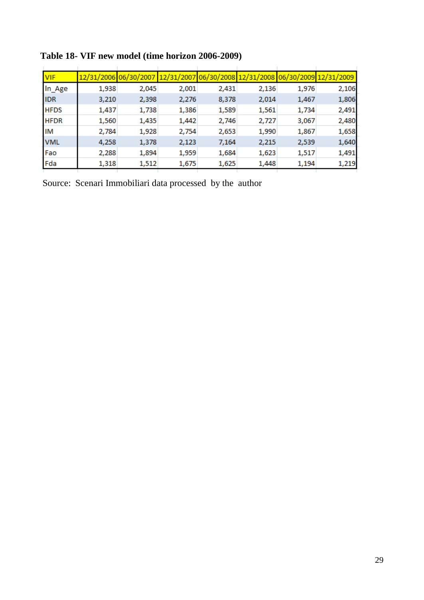| <b>VIF</b>  |       | 12/31/2006 06/30/2007 12/31/2007 06/30/2008 12/31/2008 06/30/2009 12/31/2009 |       |       |       |       |       |
|-------------|-------|------------------------------------------------------------------------------|-------|-------|-------|-------|-------|
| In_Age      | 1,938 | 2,045                                                                        | 2,001 | 2,431 | 2,136 | 1,976 | 2,106 |
| <b>IDR</b>  | 3,210 | 2,398                                                                        | 2,276 | 8,378 | 2,014 | 1,467 | 1,806 |
| <b>HFDS</b> | 1,437 | 1,738                                                                        | 1,386 | 1,589 | 1,561 | 1,734 | 2,491 |
| <b>HFDR</b> | 1,560 | 1,435                                                                        | 1,442 | 2,746 | 2,727 | 3,067 | 2,480 |
| IM          | 2,784 | 1,928                                                                        | 2,754 | 2,653 | 1,990 | 1,867 | 1,658 |
| <b>VML</b>  | 4,258 | 1,378                                                                        | 2,123 | 7,164 | 2,215 | 2,539 | 1,640 |
| Fao         | 2,288 | 1,894                                                                        | 1,959 | 1,684 | 1,623 | 1,517 | 1,491 |
| Fda         | 1,318 | 1,512                                                                        | 1,675 | 1,625 | 1,448 | 1,194 | 1,219 |
|             |       |                                                                              |       |       |       |       |       |

## **Table 18- VIF new model (time horizon 2006-2009)**

Source: Scenari Immobiliari data processed by the author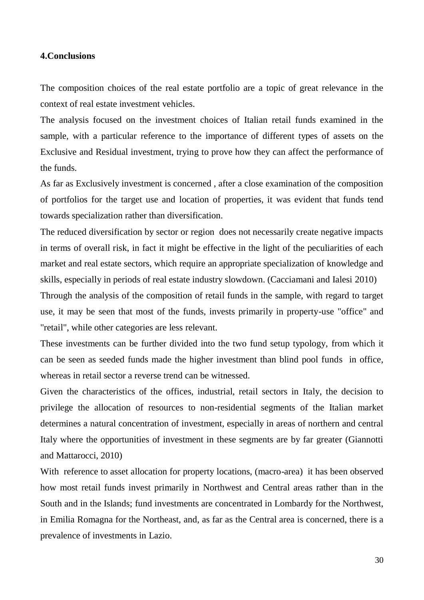### **4.Conclusions**

The composition choices of the real estate portfolio are a topic of great relevance in the context of real estate investment vehicles.

The analysis focused on the investment choices of Italian retail funds examined in the sample, with a particular reference to the importance of different types of assets on the Exclusive and Residual investment, trying to prove how they can affect the performance of the funds.

As far as Exclusively investment is concerned , after a close examination of the composition of portfolios for the target use and location of properties, it was evident that funds tend towards specialization rather than diversification.

The reduced diversification by sector or region does not necessarily create negative impacts in terms of overall risk, in fact it might be effective in the light of the peculiarities of each market and real estate sectors, which require an appropriate specialization of knowledge and skills, especially in periods of real estate industry slowdown. (Cacciamani and Ialesi 2010)

Through the analysis of the composition of retail funds in the sample, with regard to target use, it may be seen that most of the funds, invests primarily in property-use "office" and "retail", while other categories are less relevant.

These investments can be further divided into the two fund setup typology, from which it can be seen as seeded funds made the higher investment than blind pool funds in office, whereas in retail sector a reverse trend can be witnessed.

Given the characteristics of the offices, industrial, retail sectors in Italy, the decision to privilege the allocation of resources to non-residential segments of the Italian market determines a natural concentration of investment, especially in areas of northern and central Italy where the opportunities of investment in these segments are by far greater (Giannotti and Mattarocci, 2010)

With reference to asset allocation for property locations, (macro-area) it has been observed how most retail funds invest primarily in Northwest and Central areas rather than in the South and in the Islands; fund investments are concentrated in Lombardy for the Northwest, in Emilia Romagna for the Northeast, and, as far as the Central area is concerned, there is a prevalence of investments in Lazio.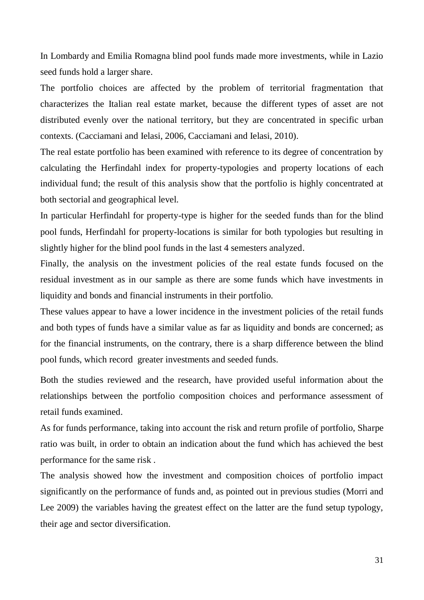In Lombardy and Emilia Romagna blind pool funds made more investments, while in Lazio seed funds hold a larger share.

The portfolio choices are affected by the problem of territorial fragmentation that characterizes the Italian real estate market, because the different types of asset are not distributed evenly over the national territory, but they are concentrated in specific urban contexts. (Cacciamani and Ielasi, 2006, Cacciamani and Ielasi, 2010).

The real estate portfolio has been examined with reference to its degree of concentration by calculating the Herfindahl index for property-typologies and property locations of each individual fund; the result of this analysis show that the portfolio is highly concentrated at both sectorial and geographical level.

In particular Herfindahl for property-type is higher for the seeded funds than for the blind pool funds, Herfindahl for property-locations is similar for both typologies but resulting in slightly higher for the blind pool funds in the last 4 semesters analyzed.

Finally, the analysis on the investment policies of the real estate funds focused on the residual investment as in our sample as there are some funds which have investments in liquidity and bonds and financial instruments in their portfolio.

These values appear to have a lower incidence in the investment policies of the retail funds and both types of funds have a similar value as far as liquidity and bonds are concerned; as for the financial instruments, on the contrary, there is a sharp difference between the blind pool funds, which record greater investments and seeded funds.

Both the studies reviewed and the research, have provided useful information about the relationships between the portfolio composition choices and performance assessment of retail funds examined.

As for funds performance, taking into account the risk and return profile of portfolio, Sharpe ratio was built, in order to obtain an indication about the fund which has achieved the best performance for the same risk .

The analysis showed how the investment and composition choices of portfolio impact significantly on the performance of funds and, as pointed out in previous studies (Morri and Lee 2009) the variables having the greatest effect on the latter are the fund setup typology, their age and sector diversification.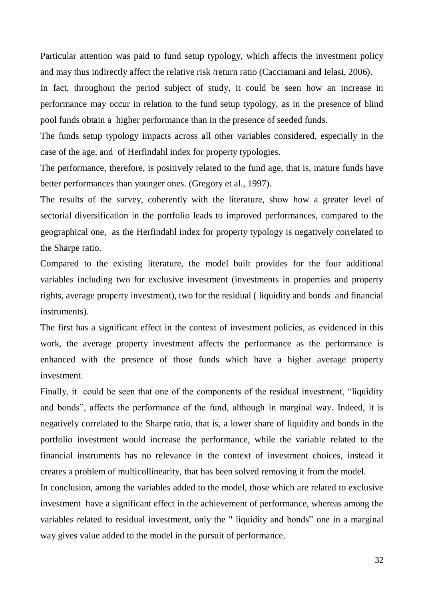Particular attention was paid to fund setup typology, which affects the investment policy and may thus indirectly affect the relative risk /return ratio (Cacciamani and Ielasi, 2006).

In fact, throughout the period subject of study, it could be seen how an increase in performance may occur in relation to the fund setup typology, as in the presence of blind pool funds obtain a higher performance than in the presence of seeded funds.

The funds setup typology impacts across all other variables considered, especially in the case of the age, and of Herfindahl index for property typologies.

The performance, therefore, is positively related to the fund age, that is, mature funds have better performances than younger ones. (Gregory et al., 1997).

The results of the survey, coherently with the literature, show how a greater level of sectorial diversification in the portfolio leads to improved performances, compared to the geographical one, as the Herfindahl index for property typology is negatively correlated to the Sharpe ratio.

Compared to the existing literature, the model built provides for the four additional variables including two for exclusive investment (investments in properties and property rights, average property investment), two for the residual ( liquidity and bonds and financial instruments).

The first has a significant effect in the context of investment policies, as evidenced in this work, the average property investment affects the performance as the performance is enhanced with the presence of those funds which have a higher average property investment.

Finally, it could be seen that one of the components of the residual investment, "liquidity and bonds", affects the performance of the fund, although in marginal way. Indeed, it is negatively correlated to the Sharpe ratio, that is, a lower share of liquidity and bonds in the portfolio investment would increase the performance, while the variable related to the financial instruments has no relevance in the context of investment choices, instead it creates a problem of multicollinearity, that has been solved removing it from the model.

In conclusion, among the variables added to the model, those which are related to exclusive investment have a significant effect in the achievement of performance, whereas among the variables related to residual investment, only the " liquidity and bonds" one in a marginal way gives value added to the model in the pursuit of performance.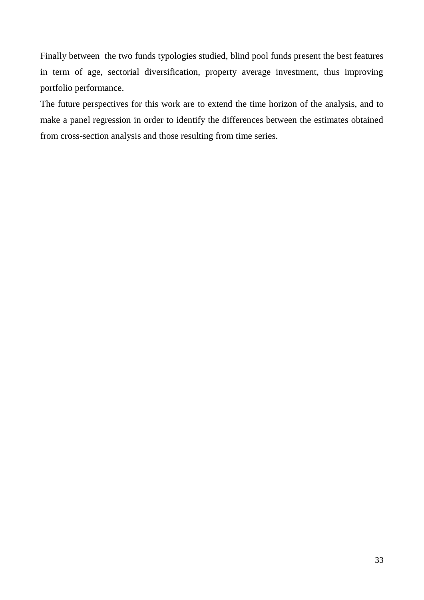Finally between the two funds typologies studied, blind pool funds present the best features in term of age, sectorial diversification, property average investment, thus improving portfolio performance.

The future perspectives for this work are to extend the time horizon of the analysis, and to make a panel regression in order to identify the differences between the estimates obtained from cross-section analysis and those resulting from time series.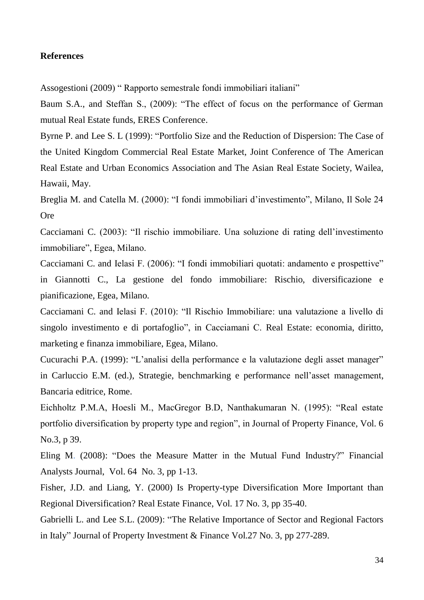#### **References**

Assogestioni (2009) " Rapporto semestrale fondi immobiliari italiani"

Baum S.A., and Steffan S., (2009): "The effect of focus on the performance of German mutual Real Estate funds, ERES Conference.

Byrne P. and Lee S. L (1999): "Portfolio Size and the Reduction of Dispersion: The Case of the United Kingdom Commercial Real Estate Market, Joint Conference of The American Real Estate and Urban Economics Association and The Asian Real Estate Society, Wailea, Hawaii, May.

Breglia M. and Catella M. (2000): "I fondi immobiliari d'investimento", Milano, Il Sole 24 **Ore** 

Cacciamani C. (2003): "Il rischio immobiliare. Una soluzione di rating dell'investimento immobiliare", Egea, Milano.

Cacciamani C. and Ielasi F. (2006): "I fondi immobiliari quotati: andamento e prospettive" in Giannotti C., La gestione del fondo immobiliare: Rischio, diversificazione e pianificazione, Egea, Milano.

Cacciamani C. and Ielasi F. (2010): "Il Rischio Immobiliare: una valutazione a livello di singolo investimento e di portafoglio", in Cacciamani C. Real Estate: economia, diritto, marketing e finanza immobiliare, Egea, Milano.

Cucurachi P.A. (1999): "L'analisi della performance e la valutazione degli asset manager" in Carluccio E.M. (ed.), Strategie, benchmarking e performance nell'asset management, Bancaria editrice, Rome.

Eichholtz P.M.A, Hoesli M., MacGregor B.D, Nanthakumaran N. (1995): "Real estate portfolio diversification by property type and region", in Journal of Property Finance, Vol. 6 No.3, p 39.

Eling M. (2008): "Does the Measure Matter in the Mutual Fund Industry?" Financial Analysts Journal, Vol. 64 No. 3, pp 1-13.

Fisher, J.D. and Liang, Y. (2000) Is Property-type Diversification More Important than Regional Diversification? Real Estate Finance, Vol. 17 No. 3, pp 35-40.

Gabrielli L. and Lee S.L. (2009): "The Relative Importance of Sector and Regional Factors in Italy" Journal of Property Investment & Finance Vol.27 No. 3, pp 277-289.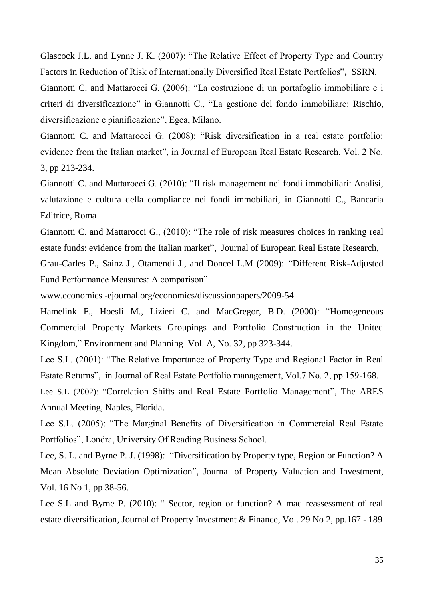Glascock J.L. and Lynne J. K. (2007): "The Relative Effect of Property Type and Country Factors in Reduction of Risk of Internationally Diversified Real Estate Portfolios"**,** SSRN.

Giannotti C. and Mattarocci G. (2006): "La costruzione di un portafoglio immobiliare e i criteri di diversificazione" in Giannotti C., "La gestione del fondo immobiliare: Rischio, diversificazione e pianificazione", Egea, Milano.

Giannotti C. and Mattarocci G. (2008): "Risk diversification in a real estate portfolio: evidence from the Italian market", in Journal of European Real Estate Research, Vol. 2 No. 3, pp 213-234.

Giannotti C. and Mattarocci G. (2010): "Il risk management nei fondi immobiliari: Analisi, valutazione e cultura della compliance nei fondi immobiliari, in Giannotti C., Bancaria Editrice, Roma

Giannotti C. and Mattarocci G., (2010): "The role of risk measures choices in ranking real estate funds: evidence from the Italian market", Journal of European Real Estate Research,

Grau-Carles P., Sainz J., Otamendi J., and Doncel L.M (2009): *"*Different Risk-Adjusted Fund Performance Measures: A comparison"

www.economics -ejournal.org/economics/discussionpapers/2009-54

Hamelink F., Hoesli M., Lizieri C. and MacGregor, B.D. (2000): "Homogeneous Commercial Property Markets Groupings and Portfolio Construction in the United Kingdom," Environment and Planning Vol. A, No. 32, pp 323-344.

Lee S.L. (2001): "The Relative Importance of Property Type and Regional Factor in Real Estate Returns", in Journal of Real Estate Portfolio management, Vol.7 No. 2, pp 159-168.

Lee S.L (2002): "Correlation Shifts and Real Estate Portfolio Management", The ARES Annual Meeting, Naples, Florida.

Lee S.L. (2005): "The Marginal Benefits of Diversification in Commercial Real Estate Portfolios", Londra, University Of Reading Business School.

Lee, S. L. and Byrne P. J. (1998): "Diversification by Property type, Region or Function? A Mean Absolute Deviation Optimization", Journal of Property Valuation and Investment, Vol. 16 No 1, pp 38-56.

Lee S.L and Byrne P. (2010): " Sector, region or function? A mad reassessment of real estate diversification, Journal of Property Investment & Finance, Vol. 29 No 2, pp.167 - 189